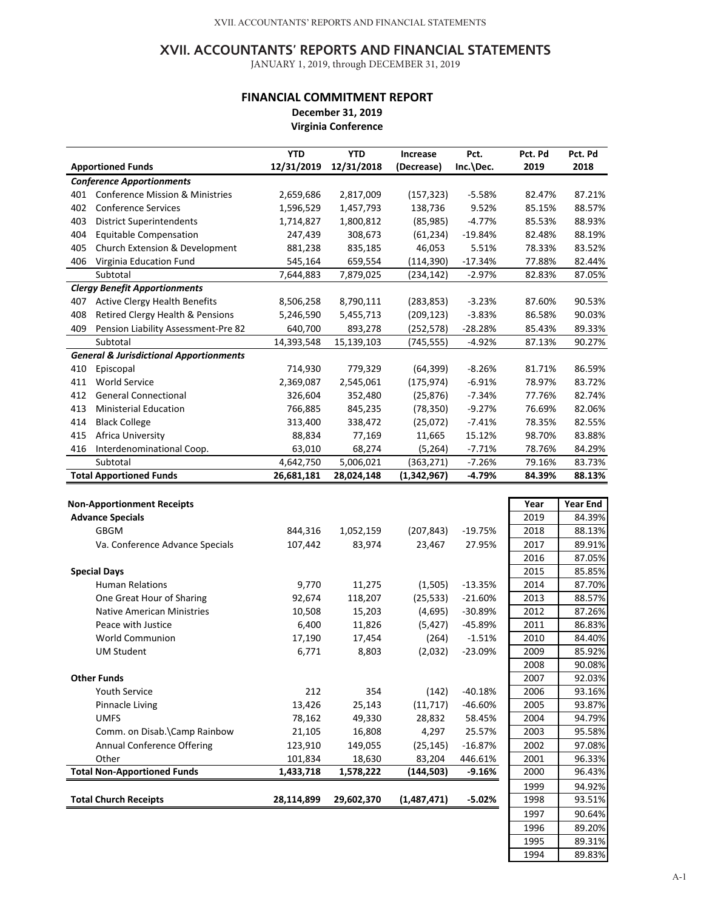## **XVII. ACCOUNTANTS' REPORTS AND FINANCIAL STATEMENTS**

JANUARY 1, 2019, through DECEMBER 31, 2019

## **FINANCIAL COMMITMENT REPORT**

**December 31, 2019**

**Virginia Conference**

|     |                                                    | YTD        | <b>YTD</b> | <b>Increase</b> | Pct.      | Pct. Pd | Pct. Pd         |
|-----|----------------------------------------------------|------------|------------|-----------------|-----------|---------|-----------------|
|     | <b>Apportioned Funds</b>                           | 12/31/2019 | 12/31/2018 | (Decrease)      | Inc.\Dec. | 2019    | 2018            |
|     | <b>Conference Apportionments</b>                   |            |            |                 |           |         |                 |
| 401 | <b>Conference Mission &amp; Ministries</b>         | 2,659,686  | 2,817,009  | (157, 323)      | $-5.58%$  | 82.47%  | 87.21%          |
| 402 | <b>Conference Services</b>                         | 1,596,529  | 1,457,793  | 138,736         | 9.52%     | 85.15%  | 88.57%          |
| 403 | <b>District Superintendents</b>                    | 1,714,827  | 1,800,812  | (85, 985)       | $-4.77%$  | 85.53%  | 88.93%          |
| 404 | <b>Equitable Compensation</b>                      | 247,439    | 308,673    | (61, 234)       | $-19.84%$ | 82.48%  | 88.19%          |
| 405 | Church Extension & Development                     | 881,238    | 835,185    | 46,053          | 5.51%     | 78.33%  | 83.52%          |
| 406 | Virginia Education Fund                            | 545,164    | 659,554    | (114, 390)      | $-17.34%$ | 77.88%  | 82.44%          |
|     | Subtotal                                           | 7,644,883  | 7,879,025  | (234, 142)      | $-2.97%$  | 82.83%  | 87.05%          |
|     | <b>Clergy Benefit Apportionments</b>               |            |            |                 |           |         |                 |
| 407 | <b>Active Clergy Health Benefits</b>               | 8,506,258  | 8,790,111  | (283, 853)      | $-3.23%$  | 87.60%  | 90.53%          |
| 408 | Retired Clergy Health & Pensions                   | 5,246,590  | 5,455,713  | (209, 123)      | $-3.83%$  | 86.58%  | 90.03%          |
| 409 | Pension Liability Assessment-Pre 82                | 640,700    | 893,278    | (252, 578)      | $-28.28%$ | 85.43%  | 89.33%          |
|     | Subtotal                                           | 14,393,548 | 15,139,103 | (745, 555)      | $-4.92%$  | 87.13%  | 90.27%          |
|     | <b>General &amp; Jurisdictional Apportionments</b> |            |            |                 |           |         |                 |
| 410 | Episcopal                                          | 714,930    | 779,329    | (64, 399)       | $-8.26%$  | 81.71%  | 86.59%          |
| 411 | <b>World Service</b>                               | 2,369,087  | 2,545,061  | (175, 974)      | $-6.91%$  | 78.97%  | 83.72%          |
| 412 | <b>General Connectional</b>                        | 326,604    | 352,480    | (25, 876)       | $-7.34%$  | 77.76%  | 82.74%          |
| 413 | <b>Ministerial Education</b>                       | 766,885    | 845,235    | (78, 350)       | $-9.27%$  | 76.69%  | 82.06%          |
| 414 | <b>Black College</b>                               | 313,400    | 338,472    | (25,072)        | $-7.41%$  | 78.35%  | 82.55%          |
| 415 | Africa University                                  | 88,834     | 77,169     | 11,665          | 15.12%    | 98.70%  | 83.88%          |
| 416 | Interdenominational Coop.                          | 63,010     | 68,274     | (5, 264)        | $-7.71%$  | 78.76%  | 84.29%          |
|     | Subtotal                                           | 4,642,750  | 5,006,021  | (363, 271)      | $-7.26%$  | 79.16%  | 83.73%          |
|     | <b>Total Apportioned Funds</b>                     | 26,681,181 | 28,024,148 | (1,342,967)     | -4.79%    | 84.39%  | 88.13%          |
|     |                                                    |            |            |                 |           |         |                 |
|     | <b>Non-Apportionment Receipts</b>                  |            |            |                 |           | Year    | <b>Year End</b> |
|     | <b>Advance Specials</b>                            |            |            |                 |           | 2019    | 84.39%          |
|     | <b>GBGM</b>                                        | 844,316    | 1,052,159  | (207, 843)      | $-19.75%$ | 2018    | 88.13%          |
|     | Va. Conference Advance Specials                    | 107,442    | 83,974     | 23,467          | 27.95%    | 2017    | 89.91%          |
|     |                                                    |            |            |                 |           | 2016    | 87.05%          |
|     | <b>Special Days</b>                                |            |            |                 |           | 2015    | 85.85%          |
|     | <b>Human Relations</b>                             | 9,770      | 11,275     | (1,505)         | $-13.35%$ | 2014    | 87.70%          |
|     | One Great Hour of Sharing                          | 92,674     | 118,207    | (25, 533)       | $-21.60%$ | 2013    | 88.57%          |
|     | <b>Native American Ministries</b>                  | 10,508     | 15,203     | (4,695)         | $-30.89%$ | 2012    | 87.26%          |
|     | Peace with Justice                                 | 6,400      | 11,826     | (5, 427)        | -45.89%   | 2011    | 86.83%          |
|     | <b>World Communion</b>                             | 17,190     | 17,454     | (264)           | $-1.51%$  | 2010    | 84.40%          |
|     | <b>UM Student</b>                                  | 6,771      | 8,803      | (2,032)         | $-23.09%$ | 2009    | 85.92%          |
|     |                                                    |            |            |                 |           | 2008    | 90.08%          |
|     | <b>Other Funds</b>                                 |            |            |                 |           | 2007    | 92.03%          |
|     | Youth Service                                      | 212        | 354        | (142)           | $-40.18%$ | 2006    | 93.16%          |
|     | <b>Pinnacle Living</b>                             | 13,426     | 25,143     | (11, 717)       | $-46.60%$ | 2005    | 93.87%          |
|     | <b>UMFS</b>                                        | 78,162     | 49,330     | 28,832          | 58.45%    | 2004    | 94.79%          |
|     | Comm. on Disab.\Camp Rainbow                       | 21,105     | 16,808     | 4,297           | 25.57%    | 2003    | 95.58%          |
|     | Annual Conference Offering                         | 123,910    | 149,055    | (25, 145)       | $-16.87%$ | 2002    | 97.08%          |
|     | Other                                              | 101,834    | 18,630     | 83,204          | 446.61%   | 2001    | 96.33%          |
|     | <b>Total Non-Apportioned Funds</b>                 | 1,433,718  | 1,578,222  | (144,503)       | $-9.16%$  | 2000    | 96.43%          |
|     |                                                    |            |            |                 |           | 1999    | 94.92%          |
|     | <b>Total Church Receipts</b>                       | 28,114,899 | 29,602,370 | (1,487,471)     | $-5.02%$  | 1998    | 93.51%          |
|     |                                                    |            |            |                 |           | 1997    | 90.64%          |
|     |                                                    |            |            |                 |           | 1996    | 89.20%          |

1995 89.31% 1994 89.83%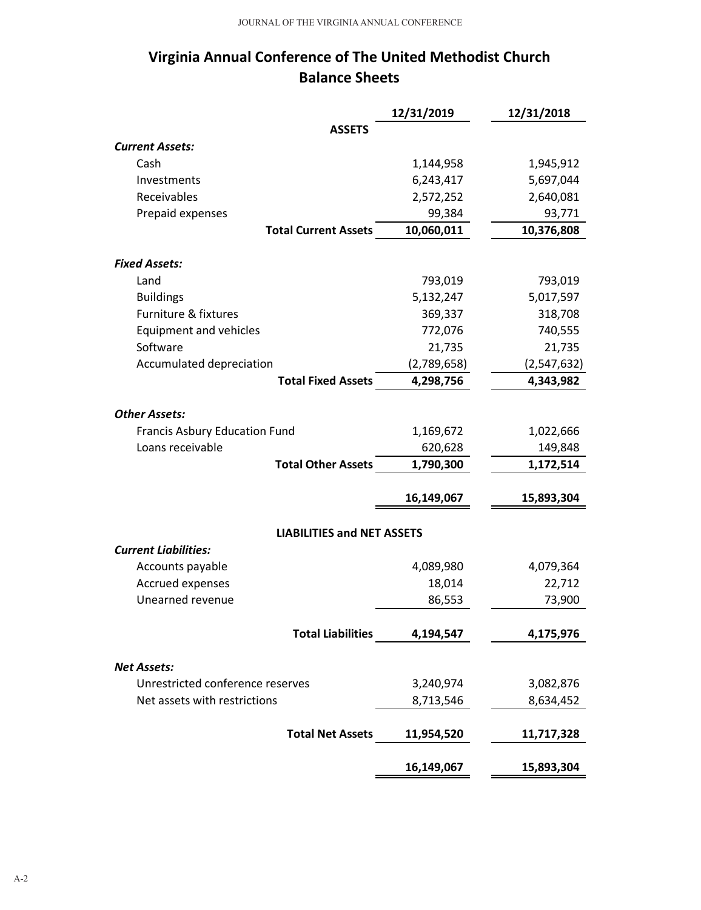# **Virginia Annual Conference of The United Methodist Church Balance Sheets**

|                                      | 12/31/2019  | 12/31/2018  |
|--------------------------------------|-------------|-------------|
| <b>ASSETS</b>                        |             |             |
| <b>Current Assets:</b>               |             |             |
| Cash                                 | 1,144,958   | 1,945,912   |
| Investments                          | 6,243,417   | 5,697,044   |
| Receivables                          | 2,572,252   | 2,640,081   |
| Prepaid expenses                     | 99,384      | 93,771      |
| <b>Total Current Assets</b>          | 10,060,011  | 10,376,808  |
| <b>Fixed Assets:</b>                 |             |             |
| Land                                 | 793,019     | 793,019     |
| <b>Buildings</b>                     | 5,132,247   | 5,017,597   |
| Furniture & fixtures                 | 369,337     | 318,708     |
| <b>Equipment and vehicles</b>        | 772,076     | 740,555     |
| Software                             | 21,735      | 21,735      |
| Accumulated depreciation             | (2,789,658) | (2,547,632) |
| <b>Total Fixed Assets</b>            | 4,298,756   | 4,343,982   |
|                                      |             |             |
| <b>Other Assets:</b>                 |             |             |
| <b>Francis Asbury Education Fund</b> | 1,169,672   | 1,022,666   |
| Loans receivable                     | 620,628     | 149,848     |
| <b>Total Other Assets</b>            | 1,790,300   | 1,172,514   |
|                                      | 16,149,067  | 15,893,304  |
| <b>LIABILITIES and NET ASSETS</b>    |             |             |
| <b>Current Liabilities:</b>          |             |             |
| Accounts payable                     | 4,089,980   | 4,079,364   |
| Accrued expenses                     | 18,014      | 22,712      |
| Unearned revenue                     | 86,553      | 73,900      |
|                                      |             |             |
| <b>Total Liabilities</b>             | 4,194,547   | 4,175,976   |
| <b>Net Assets:</b>                   |             |             |
| Unrestricted conference reserves     | 3,240,974   | 3,082,876   |
| Net assets with restrictions         | 8,713,546   | 8,634,452   |
|                                      |             |             |
| <b>Total Net Assets</b>              | 11,954,520  | 11,717,328  |
|                                      | 16,149,067  | 15,893,304  |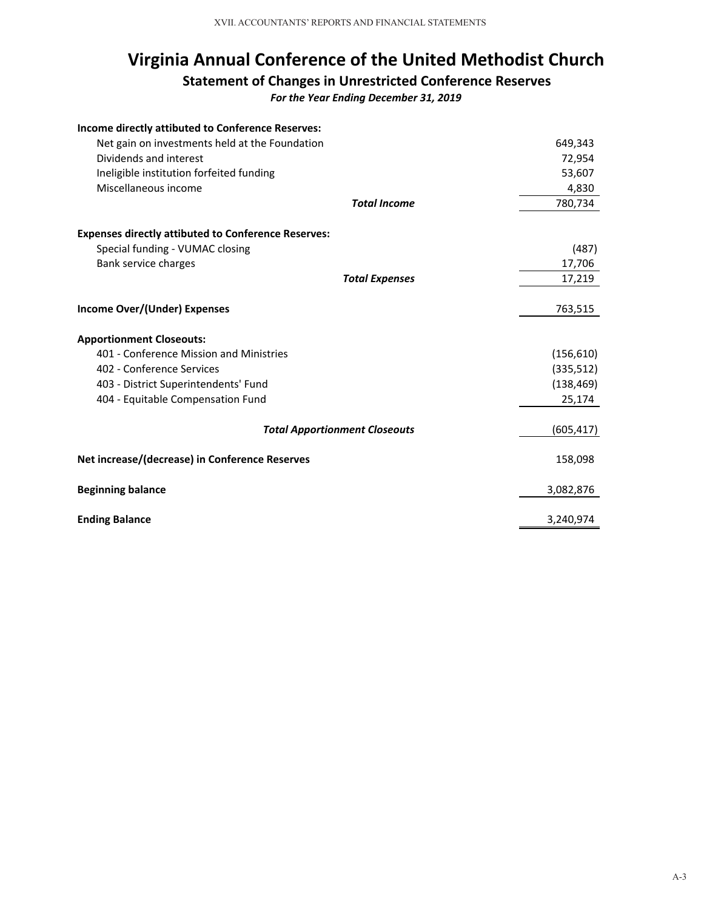# **Virginia Annual Conference of the United Methodist Church**

# **Statement of Changes in Unrestricted Conference Reserves**

*For the Year Ending December 31, 2019*

| Income directly attibuted to Conference Reserves:          |            |
|------------------------------------------------------------|------------|
| Net gain on investments held at the Foundation             | 649,343    |
| Dividends and interest                                     | 72,954     |
| Ineligible institution forfeited funding                   | 53,607     |
| Miscellaneous income                                       | 4,830      |
| <b>Total Income</b>                                        | 780,734    |
| <b>Expenses directly attibuted to Conference Reserves:</b> |            |
| Special funding - VUMAC closing                            | (487)      |
| Bank service charges                                       | 17,706     |
| <b>Total Expenses</b>                                      | 17,219     |
| <b>Income Over/(Under) Expenses</b>                        | 763,515    |
| <b>Apportionment Closeouts:</b>                            |            |
| 401 - Conference Mission and Ministries                    | (156, 610) |
| 402 - Conference Services                                  | (335,512)  |
| 403 - District Superintendents' Fund                       | (138, 469) |
| 404 - Equitable Compensation Fund                          | 25,174     |
| <b>Total Apportionment Closeouts</b>                       | (605,417)  |
| Net increase/(decrease) in Conference Reserves             | 158,098    |
| <b>Beginning balance</b>                                   | 3,082,876  |
| <b>Ending Balance</b>                                      | 3,240,974  |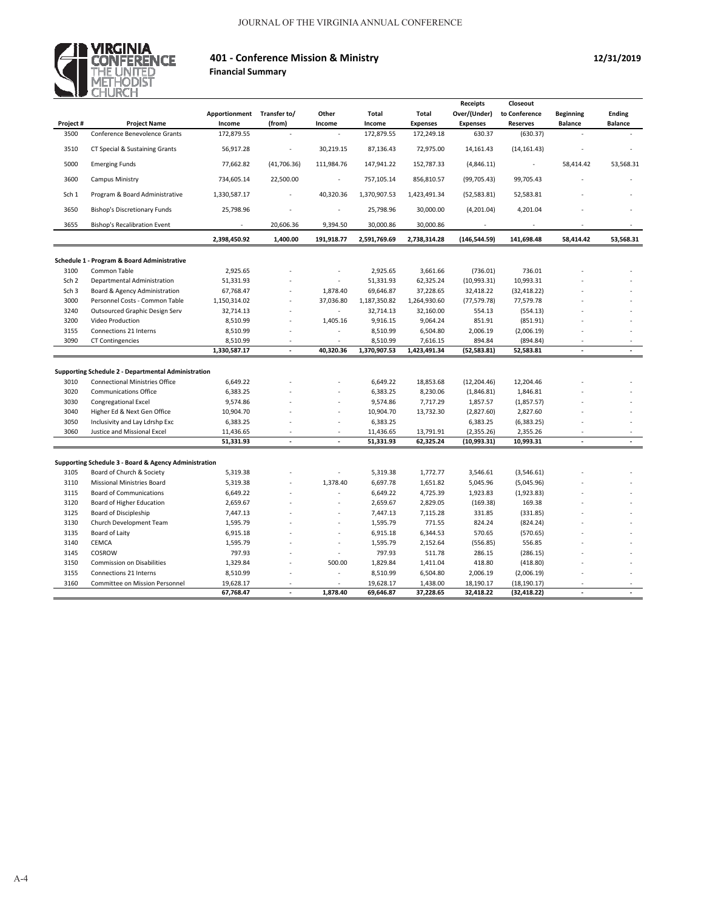

## **401 - Conference Mission & Ministry**

**Financial Summary**

| Sch 1<br>Program & Board Administrative<br>1,330,587.17<br>40,320.36<br>1,370,907.53<br>1,423,491.34<br>(52, 583.81)<br>52,583.81<br>3650<br><b>Bishop's Discretionary Funds</b><br>25,798.96<br>25,798.96<br>30,000.00<br>(4,201.04)<br>4,201.04<br>3655<br>20,606.36<br>30,000.86<br>30,000.86<br><b>Bishop's Recalibration Event</b><br>9,394.50<br>2,398,450.92<br>1,400.00<br>191,918.77<br>2,591,769.69<br>2,738,314.28<br>(146, 544.59)<br>141,698.48<br>58,414.42<br>53,568.31<br>Schedule 1 - Program & Board Administrative<br>3100<br>Common Table<br>2,925.65<br>2,925.65<br>3,661.66<br>(736.01)<br>736.01<br>Sch <sub>2</sub><br>Departmental Administration<br>51,331.93<br>51,331.93<br>62,325.24<br>(10,993.31)<br>10,993.31<br>Sch <sub>3</sub><br>67,768.47<br>69,646.87<br>37,228.65<br>32,418.22<br>(32, 418.22)<br>Board & Agency Administration<br>1,878.40<br>3000<br>1,187,350.82<br>Personnel Costs - Common Table<br>1,150,314.02<br>37,036.80<br>1,264,930.60<br>(77, 579.78)<br>77,579.78<br>3240<br>Outsourced Graphic Design Serv<br>32,714.13<br>32,714.13<br>32,160.00<br>554.13<br>(554.13)<br>3200<br>8,510.99<br>1,405.16<br>9,916.15<br>9,064.24<br>851.91<br>(851.91)<br>Video Production<br>3155<br>8,510.99<br>8,510.99<br>6,504.80<br>2,006.19<br>(2,006.19)<br>Connections 21 Interns<br>٠<br>3090<br><b>CT Contingencies</b><br>8,510.99<br>8,510.99<br>7,616.15<br>894.84<br>(894.84)<br>1,330,587.17<br>40,320.36<br>1,370,907.53<br>$\blacksquare$<br>1,423,491.34<br>(52, 583.81)<br>52,583.81<br>$\overline{a}$<br>$\blacksquare$<br>Supporting Schedule 2 - Departmental Administration<br>3010<br><b>Connectional Ministries Office</b><br>6,649.22<br>6,649.22<br>18,853.68<br>(12, 204.46)<br>12,204.46<br>6,383.25<br>3020<br><b>Communications Office</b><br>6,383.25<br>8,230.06<br>(1,846.81)<br>1,846.81<br>3030<br>Congregational Excel<br>9,574.86<br>9,574.86<br>7,717.29<br>1,857.57<br>(1,857.57)<br>3040<br>Higher Ed & Next Gen Office<br>10,904.70<br>10,904.70<br>13,732.30<br>(2,827.60)<br>2,827.60<br>3050<br>6,383.25<br>6,383.25<br>6,383.25<br>Inclusivity and Lay Ldrshp Exc<br>(6,383.25)<br>٠<br>3060<br>Justice and Missional Excel<br>11,436.65<br>11,436.65<br>13,791.91<br>(2,355.26)<br>2,355.26<br>٠<br>51,331.93<br>$\blacksquare$<br>$\overline{\phantom{a}}$<br>51,331.93<br>62,325.24<br>(10,993.31)<br>10,993.31<br>$\blacksquare$<br>$\blacksquare$<br>Supporting Schedule 3 - Board & Agency Administration<br>3105<br>Board of Church & Society<br>5,319.38<br>5,319.38<br>1,772.77<br>3,546.61<br>(3,546.61)<br>3110<br>5,319.38<br>1,378.40<br>6,697.78<br>1,651.82<br>5,045.96<br><b>Missional Ministries Board</b><br>(5,045.96)<br>3115<br>6,649.22<br><b>Board of Communications</b><br>6,649.22<br>4,725.39<br>1,923.83<br>(1,923.83)<br>3120<br>Board of Higher Education<br>2,659.67<br>2,659.67<br>2,829.05<br>(169.38)<br>169.38<br>3125<br>Board of Discipleship<br>7,447.13<br>7,115.28<br>331.85<br>(331.85)<br>7,447.13<br>3130<br>Church Development Team<br>1,595.79<br>1,595.79<br>771.55<br>824.24<br>(824.24)<br>3135<br>6,915.18<br>570.65<br>Board of Laity<br>6,915.18<br>6,344.53<br>(570.65)<br>3140<br>CEMCA<br>1,595.79<br>1,595.79<br>2,152.64<br>(556.85)<br>556.85<br>797.93<br>3145<br>COSROW<br>797.93<br>286.15<br>(286.15)<br>511.78<br>3150<br>500.00<br>1,829.84<br>418.80<br>(418.80)<br>Commission on Disabilities<br>1,329.84<br>1,411.04<br>3155<br>2,006.19<br>(2,006.19)<br>Connections 21 Interns<br>8,510.99<br>8,510.99<br>6,504.80<br>3160<br>19,628.17<br>19,628.17<br>1,438.00<br>18,190.17<br>(18, 190.17)<br>Committee on Mission Personnel<br>67,768.47<br>1,878.40<br>69,646.87<br>37,228.65<br>32,418.22<br>(32, 418.22)<br>÷. | Project#<br>3500<br>3510<br>5000<br>3600 | <b>Project Name</b><br>Conference Benevolence Grants<br>CT Special & Sustaining Grants<br><b>Emerging Funds</b><br>Campus Ministry | Apportionment<br>Income<br>172,879.55<br>56,917.28<br>77,662.82<br>734,605.14 | Transfer to/<br>(from)<br>(41, 706.36)<br>22,500.00 | Other<br>Income<br>30,219.15<br>111,984.76 | Total<br>Income<br>172,879.55<br>87,136.43<br>147,941.22<br>757,105.14 | Total<br><b>Expenses</b><br>172,249.18<br>72,975.00<br>152,787.33<br>856,810.57 | <b>Receipts</b><br>Over/(Under)<br><b>Expenses</b><br>630.37<br>14,161.43<br>(4,846.11)<br>(99, 705.43) | Closeout<br>to Conference<br><b>Reserves</b><br>(630.37)<br>(14, 161.43)<br>99,705.43 | <b>Beginning</b><br><b>Balance</b><br>58,414.42 | <b>Ending</b><br><b>Balance</b><br>53,568.31 |
|------------------------------------------------------------------------------------------------------------------------------------------------------------------------------------------------------------------------------------------------------------------------------------------------------------------------------------------------------------------------------------------------------------------------------------------------------------------------------------------------------------------------------------------------------------------------------------------------------------------------------------------------------------------------------------------------------------------------------------------------------------------------------------------------------------------------------------------------------------------------------------------------------------------------------------------------------------------------------------------------------------------------------------------------------------------------------------------------------------------------------------------------------------------------------------------------------------------------------------------------------------------------------------------------------------------------------------------------------------------------------------------------------------------------------------------------------------------------------------------------------------------------------------------------------------------------------------------------------------------------------------------------------------------------------------------------------------------------------------------------------------------------------------------------------------------------------------------------------------------------------------------------------------------------------------------------------------------------------------------------------------------------------------------------------------------------------------------------------------------------------------------------------------------------------------------------------------------------------------------------------------------------------------------------------------------------------------------------------------------------------------------------------------------------------------------------------------------------------------------------------------------------------------------------------------------------------------------------------------------------------------------------------------------------------------------------------------------------------------------------------------------------------------------------------------------------------------------------------------------------------------------------------------------------------------------------------------------------------------------------------------------------------------------------------------------------------------------------------------------------------------------------------------------------------------------------------------------------------------------------------------------------------------------------------------------------------------------------------------------------------------------------------------------------------------------------------------------------------------------------------------------------------------------------------------------------------------------------------------------------------------------------------------------------------------------------------------------------------------------------------------------------------|------------------------------------------|------------------------------------------------------------------------------------------------------------------------------------|-------------------------------------------------------------------------------|-----------------------------------------------------|--------------------------------------------|------------------------------------------------------------------------|---------------------------------------------------------------------------------|---------------------------------------------------------------------------------------------------------|---------------------------------------------------------------------------------------|-------------------------------------------------|----------------------------------------------|
|                                                                                                                                                                                                                                                                                                                                                                                                                                                                                                                                                                                                                                                                                                                                                                                                                                                                                                                                                                                                                                                                                                                                                                                                                                                                                                                                                                                                                                                                                                                                                                                                                                                                                                                                                                                                                                                                                                                                                                                                                                                                                                                                                                                                                                                                                                                                                                                                                                                                                                                                                                                                                                                                                                                                                                                                                                                                                                                                                                                                                                                                                                                                                                                                                                                                                                                                                                                                                                                                                                                                                                                                                                                                                                                                                                              |                                          |                                                                                                                                    |                                                                               |                                                     |                                            |                                                                        |                                                                                 |                                                                                                         |                                                                                       |                                                 |                                              |
|                                                                                                                                                                                                                                                                                                                                                                                                                                                                                                                                                                                                                                                                                                                                                                                                                                                                                                                                                                                                                                                                                                                                                                                                                                                                                                                                                                                                                                                                                                                                                                                                                                                                                                                                                                                                                                                                                                                                                                                                                                                                                                                                                                                                                                                                                                                                                                                                                                                                                                                                                                                                                                                                                                                                                                                                                                                                                                                                                                                                                                                                                                                                                                                                                                                                                                                                                                                                                                                                                                                                                                                                                                                                                                                                                                              |                                          |                                                                                                                                    |                                                                               |                                                     |                                            |                                                                        |                                                                                 |                                                                                                         |                                                                                       |                                                 |                                              |
|                                                                                                                                                                                                                                                                                                                                                                                                                                                                                                                                                                                                                                                                                                                                                                                                                                                                                                                                                                                                                                                                                                                                                                                                                                                                                                                                                                                                                                                                                                                                                                                                                                                                                                                                                                                                                                                                                                                                                                                                                                                                                                                                                                                                                                                                                                                                                                                                                                                                                                                                                                                                                                                                                                                                                                                                                                                                                                                                                                                                                                                                                                                                                                                                                                                                                                                                                                                                                                                                                                                                                                                                                                                                                                                                                                              |                                          |                                                                                                                                    |                                                                               |                                                     |                                            |                                                                        |                                                                                 |                                                                                                         |                                                                                       |                                                 |                                              |
|                                                                                                                                                                                                                                                                                                                                                                                                                                                                                                                                                                                                                                                                                                                                                                                                                                                                                                                                                                                                                                                                                                                                                                                                                                                                                                                                                                                                                                                                                                                                                                                                                                                                                                                                                                                                                                                                                                                                                                                                                                                                                                                                                                                                                                                                                                                                                                                                                                                                                                                                                                                                                                                                                                                                                                                                                                                                                                                                                                                                                                                                                                                                                                                                                                                                                                                                                                                                                                                                                                                                                                                                                                                                                                                                                                              |                                          |                                                                                                                                    |                                                                               |                                                     |                                            |                                                                        |                                                                                 |                                                                                                         |                                                                                       |                                                 |                                              |
|                                                                                                                                                                                                                                                                                                                                                                                                                                                                                                                                                                                                                                                                                                                                                                                                                                                                                                                                                                                                                                                                                                                                                                                                                                                                                                                                                                                                                                                                                                                                                                                                                                                                                                                                                                                                                                                                                                                                                                                                                                                                                                                                                                                                                                                                                                                                                                                                                                                                                                                                                                                                                                                                                                                                                                                                                                                                                                                                                                                                                                                                                                                                                                                                                                                                                                                                                                                                                                                                                                                                                                                                                                                                                                                                                                              |                                          |                                                                                                                                    |                                                                               |                                                     |                                            |                                                                        |                                                                                 |                                                                                                         |                                                                                       |                                                 |                                              |
|                                                                                                                                                                                                                                                                                                                                                                                                                                                                                                                                                                                                                                                                                                                                                                                                                                                                                                                                                                                                                                                                                                                                                                                                                                                                                                                                                                                                                                                                                                                                                                                                                                                                                                                                                                                                                                                                                                                                                                                                                                                                                                                                                                                                                                                                                                                                                                                                                                                                                                                                                                                                                                                                                                                                                                                                                                                                                                                                                                                                                                                                                                                                                                                                                                                                                                                                                                                                                                                                                                                                                                                                                                                                                                                                                                              |                                          |                                                                                                                                    |                                                                               |                                                     |                                            |                                                                        |                                                                                 |                                                                                                         |                                                                                       |                                                 |                                              |
|                                                                                                                                                                                                                                                                                                                                                                                                                                                                                                                                                                                                                                                                                                                                                                                                                                                                                                                                                                                                                                                                                                                                                                                                                                                                                                                                                                                                                                                                                                                                                                                                                                                                                                                                                                                                                                                                                                                                                                                                                                                                                                                                                                                                                                                                                                                                                                                                                                                                                                                                                                                                                                                                                                                                                                                                                                                                                                                                                                                                                                                                                                                                                                                                                                                                                                                                                                                                                                                                                                                                                                                                                                                                                                                                                                              |                                          |                                                                                                                                    |                                                                               |                                                     |                                            |                                                                        |                                                                                 |                                                                                                         |                                                                                       |                                                 |                                              |
|                                                                                                                                                                                                                                                                                                                                                                                                                                                                                                                                                                                                                                                                                                                                                                                                                                                                                                                                                                                                                                                                                                                                                                                                                                                                                                                                                                                                                                                                                                                                                                                                                                                                                                                                                                                                                                                                                                                                                                                                                                                                                                                                                                                                                                                                                                                                                                                                                                                                                                                                                                                                                                                                                                                                                                                                                                                                                                                                                                                                                                                                                                                                                                                                                                                                                                                                                                                                                                                                                                                                                                                                                                                                                                                                                                              |                                          |                                                                                                                                    |                                                                               |                                                     |                                            |                                                                        |                                                                                 |                                                                                                         |                                                                                       |                                                 |                                              |
|                                                                                                                                                                                                                                                                                                                                                                                                                                                                                                                                                                                                                                                                                                                                                                                                                                                                                                                                                                                                                                                                                                                                                                                                                                                                                                                                                                                                                                                                                                                                                                                                                                                                                                                                                                                                                                                                                                                                                                                                                                                                                                                                                                                                                                                                                                                                                                                                                                                                                                                                                                                                                                                                                                                                                                                                                                                                                                                                                                                                                                                                                                                                                                                                                                                                                                                                                                                                                                                                                                                                                                                                                                                                                                                                                                              |                                          |                                                                                                                                    |                                                                               |                                                     |                                            |                                                                        |                                                                                 |                                                                                                         |                                                                                       |                                                 |                                              |
|                                                                                                                                                                                                                                                                                                                                                                                                                                                                                                                                                                                                                                                                                                                                                                                                                                                                                                                                                                                                                                                                                                                                                                                                                                                                                                                                                                                                                                                                                                                                                                                                                                                                                                                                                                                                                                                                                                                                                                                                                                                                                                                                                                                                                                                                                                                                                                                                                                                                                                                                                                                                                                                                                                                                                                                                                                                                                                                                                                                                                                                                                                                                                                                                                                                                                                                                                                                                                                                                                                                                                                                                                                                                                                                                                                              |                                          |                                                                                                                                    |                                                                               |                                                     |                                            |                                                                        |                                                                                 |                                                                                                         |                                                                                       |                                                 |                                              |
|                                                                                                                                                                                                                                                                                                                                                                                                                                                                                                                                                                                                                                                                                                                                                                                                                                                                                                                                                                                                                                                                                                                                                                                                                                                                                                                                                                                                                                                                                                                                                                                                                                                                                                                                                                                                                                                                                                                                                                                                                                                                                                                                                                                                                                                                                                                                                                                                                                                                                                                                                                                                                                                                                                                                                                                                                                                                                                                                                                                                                                                                                                                                                                                                                                                                                                                                                                                                                                                                                                                                                                                                                                                                                                                                                                              |                                          |                                                                                                                                    |                                                                               |                                                     |                                            |                                                                        |                                                                                 |                                                                                                         |                                                                                       |                                                 |                                              |
|                                                                                                                                                                                                                                                                                                                                                                                                                                                                                                                                                                                                                                                                                                                                                                                                                                                                                                                                                                                                                                                                                                                                                                                                                                                                                                                                                                                                                                                                                                                                                                                                                                                                                                                                                                                                                                                                                                                                                                                                                                                                                                                                                                                                                                                                                                                                                                                                                                                                                                                                                                                                                                                                                                                                                                                                                                                                                                                                                                                                                                                                                                                                                                                                                                                                                                                                                                                                                                                                                                                                                                                                                                                                                                                                                                              |                                          |                                                                                                                                    |                                                                               |                                                     |                                            |                                                                        |                                                                                 |                                                                                                         |                                                                                       |                                                 |                                              |
|                                                                                                                                                                                                                                                                                                                                                                                                                                                                                                                                                                                                                                                                                                                                                                                                                                                                                                                                                                                                                                                                                                                                                                                                                                                                                                                                                                                                                                                                                                                                                                                                                                                                                                                                                                                                                                                                                                                                                                                                                                                                                                                                                                                                                                                                                                                                                                                                                                                                                                                                                                                                                                                                                                                                                                                                                                                                                                                                                                                                                                                                                                                                                                                                                                                                                                                                                                                                                                                                                                                                                                                                                                                                                                                                                                              |                                          |                                                                                                                                    |                                                                               |                                                     |                                            |                                                                        |                                                                                 |                                                                                                         |                                                                                       |                                                 |                                              |
|                                                                                                                                                                                                                                                                                                                                                                                                                                                                                                                                                                                                                                                                                                                                                                                                                                                                                                                                                                                                                                                                                                                                                                                                                                                                                                                                                                                                                                                                                                                                                                                                                                                                                                                                                                                                                                                                                                                                                                                                                                                                                                                                                                                                                                                                                                                                                                                                                                                                                                                                                                                                                                                                                                                                                                                                                                                                                                                                                                                                                                                                                                                                                                                                                                                                                                                                                                                                                                                                                                                                                                                                                                                                                                                                                                              |                                          |                                                                                                                                    |                                                                               |                                                     |                                            |                                                                        |                                                                                 |                                                                                                         |                                                                                       |                                                 |                                              |
|                                                                                                                                                                                                                                                                                                                                                                                                                                                                                                                                                                                                                                                                                                                                                                                                                                                                                                                                                                                                                                                                                                                                                                                                                                                                                                                                                                                                                                                                                                                                                                                                                                                                                                                                                                                                                                                                                                                                                                                                                                                                                                                                                                                                                                                                                                                                                                                                                                                                                                                                                                                                                                                                                                                                                                                                                                                                                                                                                                                                                                                                                                                                                                                                                                                                                                                                                                                                                                                                                                                                                                                                                                                                                                                                                                              |                                          |                                                                                                                                    |                                                                               |                                                     |                                            |                                                                        |                                                                                 |                                                                                                         |                                                                                       |                                                 |                                              |
|                                                                                                                                                                                                                                                                                                                                                                                                                                                                                                                                                                                                                                                                                                                                                                                                                                                                                                                                                                                                                                                                                                                                                                                                                                                                                                                                                                                                                                                                                                                                                                                                                                                                                                                                                                                                                                                                                                                                                                                                                                                                                                                                                                                                                                                                                                                                                                                                                                                                                                                                                                                                                                                                                                                                                                                                                                                                                                                                                                                                                                                                                                                                                                                                                                                                                                                                                                                                                                                                                                                                                                                                                                                                                                                                                                              |                                          |                                                                                                                                    |                                                                               |                                                     |                                            |                                                                        |                                                                                 |                                                                                                         |                                                                                       |                                                 |                                              |
|                                                                                                                                                                                                                                                                                                                                                                                                                                                                                                                                                                                                                                                                                                                                                                                                                                                                                                                                                                                                                                                                                                                                                                                                                                                                                                                                                                                                                                                                                                                                                                                                                                                                                                                                                                                                                                                                                                                                                                                                                                                                                                                                                                                                                                                                                                                                                                                                                                                                                                                                                                                                                                                                                                                                                                                                                                                                                                                                                                                                                                                                                                                                                                                                                                                                                                                                                                                                                                                                                                                                                                                                                                                                                                                                                                              |                                          |                                                                                                                                    |                                                                               |                                                     |                                            |                                                                        |                                                                                 |                                                                                                         |                                                                                       |                                                 |                                              |
|                                                                                                                                                                                                                                                                                                                                                                                                                                                                                                                                                                                                                                                                                                                                                                                                                                                                                                                                                                                                                                                                                                                                                                                                                                                                                                                                                                                                                                                                                                                                                                                                                                                                                                                                                                                                                                                                                                                                                                                                                                                                                                                                                                                                                                                                                                                                                                                                                                                                                                                                                                                                                                                                                                                                                                                                                                                                                                                                                                                                                                                                                                                                                                                                                                                                                                                                                                                                                                                                                                                                                                                                                                                                                                                                                                              |                                          |                                                                                                                                    |                                                                               |                                                     |                                            |                                                                        |                                                                                 |                                                                                                         |                                                                                       |                                                 |                                              |
|                                                                                                                                                                                                                                                                                                                                                                                                                                                                                                                                                                                                                                                                                                                                                                                                                                                                                                                                                                                                                                                                                                                                                                                                                                                                                                                                                                                                                                                                                                                                                                                                                                                                                                                                                                                                                                                                                                                                                                                                                                                                                                                                                                                                                                                                                                                                                                                                                                                                                                                                                                                                                                                                                                                                                                                                                                                                                                                                                                                                                                                                                                                                                                                                                                                                                                                                                                                                                                                                                                                                                                                                                                                                                                                                                                              |                                          |                                                                                                                                    |                                                                               |                                                     |                                            |                                                                        |                                                                                 |                                                                                                         |                                                                                       |                                                 |                                              |
|                                                                                                                                                                                                                                                                                                                                                                                                                                                                                                                                                                                                                                                                                                                                                                                                                                                                                                                                                                                                                                                                                                                                                                                                                                                                                                                                                                                                                                                                                                                                                                                                                                                                                                                                                                                                                                                                                                                                                                                                                                                                                                                                                                                                                                                                                                                                                                                                                                                                                                                                                                                                                                                                                                                                                                                                                                                                                                                                                                                                                                                                                                                                                                                                                                                                                                                                                                                                                                                                                                                                                                                                                                                                                                                                                                              |                                          |                                                                                                                                    |                                                                               |                                                     |                                            |                                                                        |                                                                                 |                                                                                                         |                                                                                       |                                                 |                                              |
|                                                                                                                                                                                                                                                                                                                                                                                                                                                                                                                                                                                                                                                                                                                                                                                                                                                                                                                                                                                                                                                                                                                                                                                                                                                                                                                                                                                                                                                                                                                                                                                                                                                                                                                                                                                                                                                                                                                                                                                                                                                                                                                                                                                                                                                                                                                                                                                                                                                                                                                                                                                                                                                                                                                                                                                                                                                                                                                                                                                                                                                                                                                                                                                                                                                                                                                                                                                                                                                                                                                                                                                                                                                                                                                                                                              |                                          |                                                                                                                                    |                                                                               |                                                     |                                            |                                                                        |                                                                                 |                                                                                                         |                                                                                       |                                                 |                                              |
|                                                                                                                                                                                                                                                                                                                                                                                                                                                                                                                                                                                                                                                                                                                                                                                                                                                                                                                                                                                                                                                                                                                                                                                                                                                                                                                                                                                                                                                                                                                                                                                                                                                                                                                                                                                                                                                                                                                                                                                                                                                                                                                                                                                                                                                                                                                                                                                                                                                                                                                                                                                                                                                                                                                                                                                                                                                                                                                                                                                                                                                                                                                                                                                                                                                                                                                                                                                                                                                                                                                                                                                                                                                                                                                                                                              |                                          |                                                                                                                                    |                                                                               |                                                     |                                            |                                                                        |                                                                                 |                                                                                                         |                                                                                       |                                                 |                                              |
|                                                                                                                                                                                                                                                                                                                                                                                                                                                                                                                                                                                                                                                                                                                                                                                                                                                                                                                                                                                                                                                                                                                                                                                                                                                                                                                                                                                                                                                                                                                                                                                                                                                                                                                                                                                                                                                                                                                                                                                                                                                                                                                                                                                                                                                                                                                                                                                                                                                                                                                                                                                                                                                                                                                                                                                                                                                                                                                                                                                                                                                                                                                                                                                                                                                                                                                                                                                                                                                                                                                                                                                                                                                                                                                                                                              |                                          |                                                                                                                                    |                                                                               |                                                     |                                            |                                                                        |                                                                                 |                                                                                                         |                                                                                       |                                                 |                                              |
|                                                                                                                                                                                                                                                                                                                                                                                                                                                                                                                                                                                                                                                                                                                                                                                                                                                                                                                                                                                                                                                                                                                                                                                                                                                                                                                                                                                                                                                                                                                                                                                                                                                                                                                                                                                                                                                                                                                                                                                                                                                                                                                                                                                                                                                                                                                                                                                                                                                                                                                                                                                                                                                                                                                                                                                                                                                                                                                                                                                                                                                                                                                                                                                                                                                                                                                                                                                                                                                                                                                                                                                                                                                                                                                                                                              |                                          |                                                                                                                                    |                                                                               |                                                     |                                            |                                                                        |                                                                                 |                                                                                                         |                                                                                       |                                                 |                                              |
|                                                                                                                                                                                                                                                                                                                                                                                                                                                                                                                                                                                                                                                                                                                                                                                                                                                                                                                                                                                                                                                                                                                                                                                                                                                                                                                                                                                                                                                                                                                                                                                                                                                                                                                                                                                                                                                                                                                                                                                                                                                                                                                                                                                                                                                                                                                                                                                                                                                                                                                                                                                                                                                                                                                                                                                                                                                                                                                                                                                                                                                                                                                                                                                                                                                                                                                                                                                                                                                                                                                                                                                                                                                                                                                                                                              |                                          |                                                                                                                                    |                                                                               |                                                     |                                            |                                                                        |                                                                                 |                                                                                                         |                                                                                       |                                                 |                                              |
|                                                                                                                                                                                                                                                                                                                                                                                                                                                                                                                                                                                                                                                                                                                                                                                                                                                                                                                                                                                                                                                                                                                                                                                                                                                                                                                                                                                                                                                                                                                                                                                                                                                                                                                                                                                                                                                                                                                                                                                                                                                                                                                                                                                                                                                                                                                                                                                                                                                                                                                                                                                                                                                                                                                                                                                                                                                                                                                                                                                                                                                                                                                                                                                                                                                                                                                                                                                                                                                                                                                                                                                                                                                                                                                                                                              |                                          |                                                                                                                                    |                                                                               |                                                     |                                            |                                                                        |                                                                                 |                                                                                                         |                                                                                       |                                                 |                                              |
|                                                                                                                                                                                                                                                                                                                                                                                                                                                                                                                                                                                                                                                                                                                                                                                                                                                                                                                                                                                                                                                                                                                                                                                                                                                                                                                                                                                                                                                                                                                                                                                                                                                                                                                                                                                                                                                                                                                                                                                                                                                                                                                                                                                                                                                                                                                                                                                                                                                                                                                                                                                                                                                                                                                                                                                                                                                                                                                                                                                                                                                                                                                                                                                                                                                                                                                                                                                                                                                                                                                                                                                                                                                                                                                                                                              |                                          |                                                                                                                                    |                                                                               |                                                     |                                            |                                                                        |                                                                                 |                                                                                                         |                                                                                       |                                                 |                                              |
|                                                                                                                                                                                                                                                                                                                                                                                                                                                                                                                                                                                                                                                                                                                                                                                                                                                                                                                                                                                                                                                                                                                                                                                                                                                                                                                                                                                                                                                                                                                                                                                                                                                                                                                                                                                                                                                                                                                                                                                                                                                                                                                                                                                                                                                                                                                                                                                                                                                                                                                                                                                                                                                                                                                                                                                                                                                                                                                                                                                                                                                                                                                                                                                                                                                                                                                                                                                                                                                                                                                                                                                                                                                                                                                                                                              |                                          |                                                                                                                                    |                                                                               |                                                     |                                            |                                                                        |                                                                                 |                                                                                                         |                                                                                       |                                                 |                                              |
|                                                                                                                                                                                                                                                                                                                                                                                                                                                                                                                                                                                                                                                                                                                                                                                                                                                                                                                                                                                                                                                                                                                                                                                                                                                                                                                                                                                                                                                                                                                                                                                                                                                                                                                                                                                                                                                                                                                                                                                                                                                                                                                                                                                                                                                                                                                                                                                                                                                                                                                                                                                                                                                                                                                                                                                                                                                                                                                                                                                                                                                                                                                                                                                                                                                                                                                                                                                                                                                                                                                                                                                                                                                                                                                                                                              |                                          |                                                                                                                                    |                                                                               |                                                     |                                            |                                                                        |                                                                                 |                                                                                                         |                                                                                       |                                                 |                                              |
|                                                                                                                                                                                                                                                                                                                                                                                                                                                                                                                                                                                                                                                                                                                                                                                                                                                                                                                                                                                                                                                                                                                                                                                                                                                                                                                                                                                                                                                                                                                                                                                                                                                                                                                                                                                                                                                                                                                                                                                                                                                                                                                                                                                                                                                                                                                                                                                                                                                                                                                                                                                                                                                                                                                                                                                                                                                                                                                                                                                                                                                                                                                                                                                                                                                                                                                                                                                                                                                                                                                                                                                                                                                                                                                                                                              |                                          |                                                                                                                                    |                                                                               |                                                     |                                            |                                                                        |                                                                                 |                                                                                                         |                                                                                       |                                                 |                                              |
|                                                                                                                                                                                                                                                                                                                                                                                                                                                                                                                                                                                                                                                                                                                                                                                                                                                                                                                                                                                                                                                                                                                                                                                                                                                                                                                                                                                                                                                                                                                                                                                                                                                                                                                                                                                                                                                                                                                                                                                                                                                                                                                                                                                                                                                                                                                                                                                                                                                                                                                                                                                                                                                                                                                                                                                                                                                                                                                                                                                                                                                                                                                                                                                                                                                                                                                                                                                                                                                                                                                                                                                                                                                                                                                                                                              |                                          |                                                                                                                                    |                                                                               |                                                     |                                            |                                                                        |                                                                                 |                                                                                                         |                                                                                       |                                                 |                                              |
|                                                                                                                                                                                                                                                                                                                                                                                                                                                                                                                                                                                                                                                                                                                                                                                                                                                                                                                                                                                                                                                                                                                                                                                                                                                                                                                                                                                                                                                                                                                                                                                                                                                                                                                                                                                                                                                                                                                                                                                                                                                                                                                                                                                                                                                                                                                                                                                                                                                                                                                                                                                                                                                                                                                                                                                                                                                                                                                                                                                                                                                                                                                                                                                                                                                                                                                                                                                                                                                                                                                                                                                                                                                                                                                                                                              |                                          |                                                                                                                                    |                                                                               |                                                     |                                            |                                                                        |                                                                                 |                                                                                                         |                                                                                       |                                                 |                                              |
|                                                                                                                                                                                                                                                                                                                                                                                                                                                                                                                                                                                                                                                                                                                                                                                                                                                                                                                                                                                                                                                                                                                                                                                                                                                                                                                                                                                                                                                                                                                                                                                                                                                                                                                                                                                                                                                                                                                                                                                                                                                                                                                                                                                                                                                                                                                                                                                                                                                                                                                                                                                                                                                                                                                                                                                                                                                                                                                                                                                                                                                                                                                                                                                                                                                                                                                                                                                                                                                                                                                                                                                                                                                                                                                                                                              |                                          |                                                                                                                                    |                                                                               |                                                     |                                            |                                                                        |                                                                                 |                                                                                                         |                                                                                       |                                                 |                                              |
|                                                                                                                                                                                                                                                                                                                                                                                                                                                                                                                                                                                                                                                                                                                                                                                                                                                                                                                                                                                                                                                                                                                                                                                                                                                                                                                                                                                                                                                                                                                                                                                                                                                                                                                                                                                                                                                                                                                                                                                                                                                                                                                                                                                                                                                                                                                                                                                                                                                                                                                                                                                                                                                                                                                                                                                                                                                                                                                                                                                                                                                                                                                                                                                                                                                                                                                                                                                                                                                                                                                                                                                                                                                                                                                                                                              |                                          |                                                                                                                                    |                                                                               |                                                     |                                            |                                                                        |                                                                                 |                                                                                                         |                                                                                       |                                                 |                                              |
|                                                                                                                                                                                                                                                                                                                                                                                                                                                                                                                                                                                                                                                                                                                                                                                                                                                                                                                                                                                                                                                                                                                                                                                                                                                                                                                                                                                                                                                                                                                                                                                                                                                                                                                                                                                                                                                                                                                                                                                                                                                                                                                                                                                                                                                                                                                                                                                                                                                                                                                                                                                                                                                                                                                                                                                                                                                                                                                                                                                                                                                                                                                                                                                                                                                                                                                                                                                                                                                                                                                                                                                                                                                                                                                                                                              |                                          |                                                                                                                                    |                                                                               |                                                     |                                            |                                                                        |                                                                                 |                                                                                                         |                                                                                       |                                                 |                                              |
|                                                                                                                                                                                                                                                                                                                                                                                                                                                                                                                                                                                                                                                                                                                                                                                                                                                                                                                                                                                                                                                                                                                                                                                                                                                                                                                                                                                                                                                                                                                                                                                                                                                                                                                                                                                                                                                                                                                                                                                                                                                                                                                                                                                                                                                                                                                                                                                                                                                                                                                                                                                                                                                                                                                                                                                                                                                                                                                                                                                                                                                                                                                                                                                                                                                                                                                                                                                                                                                                                                                                                                                                                                                                                                                                                                              |                                          |                                                                                                                                    |                                                                               |                                                     |                                            |                                                                        |                                                                                 |                                                                                                         |                                                                                       |                                                 |                                              |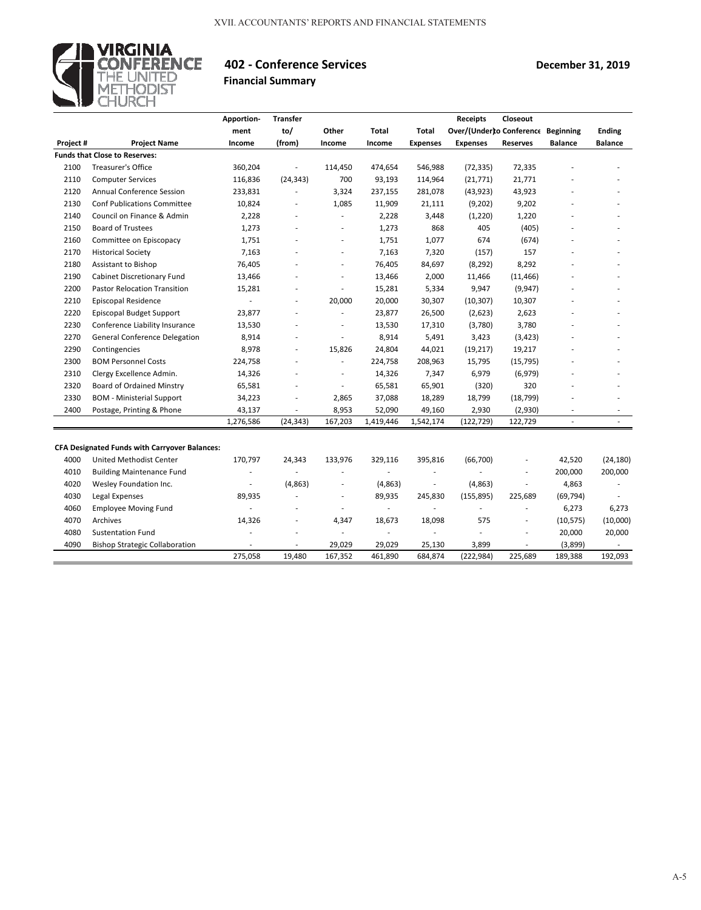

## **402 - Conference Services Financial Summary**

**December 31, 2019**

|           |                                               | Apportion- | Transfer                 |                          |           |                 | Receipts                            | Closeout        |                |                |
|-----------|-----------------------------------------------|------------|--------------------------|--------------------------|-----------|-----------------|-------------------------------------|-----------------|----------------|----------------|
|           |                                               | ment       | to/                      | Other                    | Total     | Total           | Over/(Under)to Conference Beginning |                 |                | <b>Ending</b>  |
| Project # | <b>Project Name</b>                           | Income     | (from)                   | Income                   | Income    | <b>Expenses</b> | <b>Expenses</b>                     | <b>Reserves</b> | <b>Balance</b> | <b>Balance</b> |
|           | <b>Funds that Close to Reserves:</b>          |            |                          |                          |           |                 |                                     |                 |                |                |
| 2100      | Treasurer's Office                            | 360,204    | $\overline{\phantom{a}}$ | 114,450                  | 474,654   | 546,988         | (72, 335)                           | 72,335          |                |                |
| 2110      | <b>Computer Services</b>                      | 116,836    | (24, 343)                | 700                      | 93,193    | 114,964         | (21, 771)                           | 21,771          |                |                |
| 2120      | Annual Conference Session                     | 233,831    |                          | 3,324                    | 237,155   | 281,078         | (43, 923)                           | 43,923          |                |                |
| 2130      | <b>Conf Publications Committee</b>            | 10,824     |                          | 1,085                    | 11,909    | 21,111          | (9,202)                             | 9,202           |                |                |
| 2140      | Council on Finance & Admin                    | 2,228      |                          |                          | 2,228     | 3,448           | (1, 220)                            | 1,220           |                |                |
| 2150      | <b>Board of Trustees</b>                      | 1,273      |                          |                          | 1,273     | 868             | 405                                 | (405)           |                |                |
| 2160      | Committee on Episcopacy                       | 1,751      |                          | $\overline{\phantom{a}}$ | 1,751     | 1,077           | 674                                 | (674)           |                |                |
| 2170      | <b>Historical Society</b>                     | 7,163      |                          |                          | 7,163     | 7,320           | (157)                               | 157             |                |                |
| 2180      | <b>Assistant to Bishop</b>                    | 76,405     |                          | $\overline{\phantom{a}}$ | 76,405    | 84,697          | (8, 292)                            | 8,292           |                |                |
| 2190      | Cabinet Discretionary Fund                    | 13,466     |                          |                          | 13,466    | 2,000           | 11,466                              | (11, 466)       |                |                |
| 2200      | <b>Pastor Relocation Transition</b>           | 15,281     |                          | $\overline{\phantom{a}}$ | 15,281    | 5,334           | 9,947                               | (9, 947)        |                |                |
| 2210      | <b>Episcopal Residence</b>                    |            |                          | 20,000                   | 20,000    | 30,307          | (10, 307)                           | 10,307          |                |                |
| 2220      | Episcopal Budget Support                      | 23,877     |                          |                          | 23,877    | 26,500          | (2,623)                             | 2,623           |                |                |
| 2230      | Conference Liability Insurance                | 13,530     |                          | $\overline{\phantom{a}}$ | 13,530    | 17,310          | (3,780)                             | 3,780           |                |                |
| 2270      | <b>General Conference Delegation</b>          | 8,914      |                          | $\overline{\phantom{a}}$ | 8,914     | 5,491           | 3,423                               | (3, 423)        |                |                |
| 2290      | Contingencies                                 | 8,978      | L,                       | 15,826                   | 24,804    | 44,021          | (19, 217)                           | 19,217          |                |                |
| 2300      | <b>BOM Personnel Costs</b>                    | 224,758    | L,                       | $\sim$                   | 224,758   | 208,963         | 15,795                              | (15, 795)       |                |                |
| 2310      | Clergy Excellence Admin.                      | 14,326     |                          | $\overline{\phantom{a}}$ | 14,326    | 7,347           | 6,979                               | (6,979)         |                |                |
| 2320      | <b>Board of Ordained Minstry</b>              | 65,581     |                          | $\overline{\phantom{a}}$ | 65,581    | 65,901          | (320)                               | 320             |                |                |
| 2330      | <b>BOM - Ministerial Support</b>              | 34,223     | L,                       | 2,865                    | 37,088    | 18,289          | 18,799                              | (18, 799)       |                | ä,             |
| 2400      | Postage, Printing & Phone                     | 43,137     | $\overline{\phantom{a}}$ | 8,953                    | 52,090    | 49,160          | 2,930                               | (2,930)         |                |                |
|           |                                               | 1,276,586  | (24, 343)                | 167,203                  | 1,419,446 | 1,542,174       | (122, 729)                          | 122,729         |                |                |
|           |                                               |            |                          |                          |           |                 |                                     |                 |                |                |
|           | CFA Designated Funds with Carryover Balances: |            |                          |                          |           |                 |                                     |                 |                |                |
| 4000      | United Methodist Center                       | 170,797    | 24,343                   | 133,976                  | 329,116   | 395,816         | (66, 700)                           |                 | 42,520         | (24, 180)      |
| 4010      | <b>Building Maintenance Fund</b>              |            |                          |                          |           |                 |                                     | í,              | 200,000        | 200,000        |
| 4020      | Wesley Foundation Inc.                        |            | (4,863)                  | $\overline{\phantom{a}}$ | (4, 863)  | L               | (4,863)                             | ä,              | 4,863          | ٠              |
| 4030      | Legal Expenses                                | 89,935     |                          | $\overline{\phantom{a}}$ | 89,935    | 245,830         | (155, 895)                          | 225,689         | (69, 794)      |                |
| 4060      | <b>Employee Moving Fund</b>                   |            |                          |                          |           |                 |                                     | ä,              | 6,273          | 6,273          |
| 4070      | Archives                                      | 14,326     |                          | 4,347                    | 18,673    | 18,098          | 575                                 | ä,              | (10, 575)      | (10,000)       |
| 4080      | <b>Sustentation Fund</b>                      |            |                          |                          |           |                 |                                     |                 | 20,000         | 20,000         |
| 4090      | <b>Bishop Strategic Collaboration</b>         |            |                          | 29,029                   | 29,029    | 25,130          | 3,899                               |                 | (3,899)        |                |
|           |                                               | 275,058    | 19,480                   | 167,352                  | 461,890   | 684,874         | (222, 984)                          | 225,689         | 189,388        | 192,093        |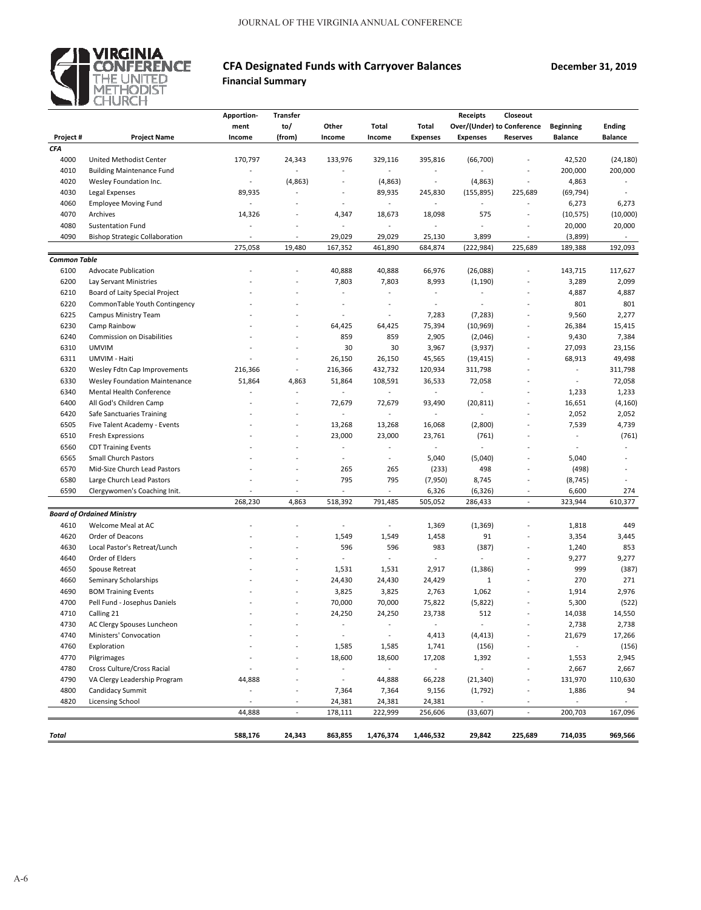

## **CFA Designated Funds with Carryover Balances Financial Summary**

**December 31, 2019**

|                     |                                       | Apportion-                   | Transfer                 |                          |                          |                          | Receipts                          | Closeout                 |                                 |                      |
|---------------------|---------------------------------------|------------------------------|--------------------------|--------------------------|--------------------------|--------------------------|-----------------------------------|--------------------------|---------------------------------|----------------------|
|                     |                                       | ment                         | to/                      | Other                    | Total                    | Total                    | <b>Over/(Under) to Conference</b> |                          | <b>Beginning</b>                | <b>Ending</b>        |
| Project#            | <b>Project Name</b>                   | Income                       | (from)                   | Income                   | Income                   | <b>Expenses</b>          | <b>Expenses</b>                   | <b>Reserves</b>          | <b>Balance</b>                  | <b>Balance</b>       |
| CFA                 |                                       |                              |                          |                          |                          |                          |                                   |                          |                                 |                      |
| 4000                | United Methodist Center               | 170,797                      | 24,343                   | 133,976                  | 329,116                  | 395,816                  | (66, 700)                         |                          | 42,520                          | (24, 180)            |
| 4010                | <b>Building Maintenance Fund</b>      | $\sim$                       | ÷,                       | ÷,                       | ÷,                       | ÷,                       | ÷,                                | $\overline{\phantom{a}}$ | 200,000                         | 200,000              |
| 4020                | Wesley Foundation Inc.                | $\sim$                       | (4, 863)                 | $\overline{\phantom{a}}$ | (4,863)                  | ÷,                       | (4,863)                           | $\blacksquare$           | 4,863                           |                      |
| 4030                | Legal Expenses                        | 89,935                       |                          | $\blacksquare$           | 89,935                   | 245,830                  | (155, 895)                        | 225,689                  | (69, 794)                       |                      |
| 4060                | <b>Employee Moving Fund</b>           | $\omega$                     | ä,                       | $\blacksquare$           | L.                       | $\omega$                 | $\omega$                          | ÷,                       | 6,273                           | 6,273                |
| 4070                | Archives                              | 14,326                       |                          | 4,347                    | 18,673                   | 18,098                   | 575                               | $\overline{\phantom{a}}$ | (10, 575)                       | (10,000)             |
| 4080                | <b>Sustentation Fund</b>              | $\qquad \qquad \blacksquare$ |                          | $\blacksquare$           | ÷,                       | ÷,                       | ÷,                                | $\overline{\phantom{a}}$ | 20,000                          | 20,000               |
| 4090                | <b>Bishop Strategic Collaboration</b> |                              |                          | 29,029                   | 29,029                   | 25,130                   | 3,899                             |                          | (3,899)                         |                      |
|                     |                                       | 275,058                      | 19,480                   | 167,352                  | 461,890                  | 684,874                  | (222, 984)                        | 225,689                  | 189,388                         | 192,093              |
| <b>Common Table</b> |                                       |                              |                          |                          |                          |                          |                                   |                          |                                 |                      |
| 6100                | <b>Advocate Publication</b>           |                              |                          | 40,888                   | 40,888                   | 66,976                   | (26,088)                          |                          | 143,715                         | 117,627              |
| 6200                | Lay Servant Ministries                |                              |                          | 7,803                    | 7,803                    | 8,993                    | (1, 190)                          |                          | 3,289                           | 2,099                |
| 6210                |                                       |                              |                          | $\blacksquare$           | ÷,                       | $\overline{\phantom{a}}$ | $\overline{\phantom{a}}$          |                          | 4,887                           | 4,887                |
|                     | Board of Laity Special Project        |                              |                          | $\blacksquare$           | ÷,                       | ÷,                       | $\sim$                            | $\ddot{\phantom{1}}$     | 801                             | 801                  |
| 6220                | CommonTable Youth Contingency         |                              |                          |                          | $\overline{a}$           |                          |                                   | L,                       |                                 |                      |
| 6225                | Campus Ministry Team                  |                              |                          | $\blacksquare$           |                          | 7,283                    | (7, 283)                          |                          | 9,560                           | 2,277                |
| 6230                | Camp Rainbow                          |                              | ä,                       | 64,425                   | 64,425                   | 75,394                   | (10, 969)                         |                          | 26,384                          | 15,415               |
| 6240                | Commission on Disabilities            |                              | ä,                       | 859                      | 859                      | 2,905                    | (2,046)                           | $\blacksquare$           | 9,430                           | 7,384                |
| 6310                | <b>UMVIM</b>                          |                              |                          | 30                       | 30                       | 3,967                    | (3,937)                           |                          | 27,093                          | 23,156               |
| 6311                | UMVIM - Haiti                         |                              |                          | 26,150                   | 26,150                   | 45,565                   | (19, 415)                         |                          | 68,913                          | 49,498               |
| 6320                | Wesley Fdtn Cap Improvements          | 216,366                      | $\bar{a}$                | 216,366                  | 432,732                  | 120,934                  | 311,798                           |                          | $\blacksquare$                  | 311,798              |
| 6330                | <b>Wesley Foundation Maintenance</b>  | 51,864                       | 4,863                    | 51,864                   | 108,591                  | 36,533                   | 72,058                            |                          |                                 | 72,058               |
| 6340                | Mental Health Conference              | L,                           | $\blacksquare$           | $\sim$                   | ÷,                       | $\blacksquare$           | $\omega$                          |                          | 1,233                           | 1,233                |
| 6400                | All God's Children Camp               |                              | $\overline{\phantom{a}}$ | 72,679                   | 72,679                   | 93,490                   | (20, 811)                         |                          | 16,651                          | (4, 160)             |
| 6420                | Safe Sanctuaries Training             |                              |                          |                          |                          | ÷,                       | $\overline{\phantom{a}}$          |                          | 2,052                           | 2,052                |
| 6505                | Five Talent Academy - Events          |                              |                          | 13,268                   | 13,268                   | 16,068                   | (2,800)                           |                          | 7,539                           | 4,739                |
| 6510                | Fresh Expressions                     |                              | ä,                       | 23,000                   | 23,000                   | 23,761                   | (761)                             |                          | $\centering \label{eq:reduced}$ | (761)                |
| 6560                | <b>CDT Training Events</b>            |                              |                          | $\overline{\phantom{a}}$ | ÷,                       | ä,                       | ÷,                                |                          | $\centering \label{eq:reduced}$ | $\omega$             |
| 6565                | Small Church Pastors                  |                              |                          | $\sim$                   | ÷,                       | 5,040                    | (5,040)                           |                          | 5,040                           |                      |
| 6570                | Mid-Size Church Lead Pastors          |                              |                          | 265                      | 265                      | (233)                    | 498                               | ÷,                       | (498)                           | $\ddot{\phantom{1}}$ |
| 6580                | Large Church Lead Pastors             |                              |                          | 795                      | 795                      | (7, 950)                 | 8,745                             | ä,                       | (8, 745)                        |                      |
| 6590                | Clergywomen's Coaching Init.          |                              | ÷,                       | $\sim$                   | $\omega$                 | 6,326                    | (6, 326)                          | $\sim$                   | 6,600                           | 274                  |
|                     |                                       | 268,230                      | 4,863                    | 518,392                  | 791,485                  | 505,052                  | 286,433                           | $\blacksquare$           | 323,944                         | 610,377              |
|                     | <b>Board of Ordained Ministry</b>     |                              |                          |                          |                          |                          |                                   |                          |                                 |                      |
| 4610                | Welcome Meal at AC                    |                              |                          | $\sim$                   | $\overline{a}$           | 1,369                    | (1, 369)                          |                          | 1,818                           | 449                  |
| 4620                | Order of Deacons                      |                              |                          | 1,549                    | 1,549                    | 1,458                    | 91                                |                          | 3,354                           | 3,445                |
| 4630                | Local Pastor's Retreat/Lunch          |                              |                          | 596                      | 596                      | 983                      | (387)                             |                          | 1,240                           | 853                  |
| 4640                | Order of Elders                       |                              |                          | $\blacksquare$           | $\overline{a}$           | $\Box$                   | $\overline{\phantom{a}}$          | ä,                       | 9,277                           | 9,277                |
| 4650                | Spouse Retreat                        |                              |                          | 1,531                    | 1,531                    | 2,917                    | (1, 386)                          |                          | 999                             | (387)                |
| 4660                | Seminary Scholarships                 |                              | ÷,                       | 24,430                   | 24,430                   | 24,429                   | $\mathbf{1}$                      | $\overline{\phantom{a}}$ | 270                             | 271                  |
| 4690                | <b>BOM Training Events</b>            |                              | L,                       | 3,825                    | 3,825                    | 2,763                    | 1,062                             |                          | 1,914                           | 2,976                |
| 4700                | Pell Fund - Josephus Daniels          |                              |                          | 70,000                   | 70,000                   | 75,822                   | (5,822)                           |                          | 5,300                           | (522)                |
| 4710                | Calling 21                            |                              |                          | 24,250                   | 24,250                   | 23,738                   | 512                               |                          | 14,038                          | 14,550               |
| 4730                | AC Clergy Spouses Luncheon            |                              |                          | $\overline{a}$           | $\sim$                   | $\overline{a}$           | $\overline{\phantom{a}}$          |                          | 2,738                           | 2,738                |
| 4740                | Ministers' Convocation                |                              |                          |                          | $\overline{\phantom{a}}$ | 4,413                    | (4, 413)                          |                          | 21,679                          | 17,266               |
| 4760                | Exploration                           |                              |                          | 1,585                    | 1,585                    | 1,741                    | (156)                             |                          | $\overline{\phantom{a}}$        | (156)                |
| 4770                | Pilgrimages                           |                              |                          | 18,600                   |                          |                          |                                   |                          |                                 | 2,945                |
|                     |                                       |                              |                          |                          | 18,600                   | 17,208                   | 1,392                             |                          | 1,553                           |                      |
| 4780                | Cross Culture/Cross Racial            |                              |                          |                          | $\omega$                 | $\blacksquare$           | $\blacksquare$                    |                          | 2,667                           | 2,667                |
| 4790                | VA Clergy Leadership Program          | 44,888                       |                          | $\blacksquare$           | 44,888                   | 66,228                   | (21, 340)                         | $\Box$                   | 131,970                         | 110,630              |
| 4800                | Candidacy Summit                      |                              |                          | 7,364                    | 7,364                    | 9,156                    | (1,792)                           | $\blacksquare$           | 1,886                           | 94                   |
| 4820                | Licensing School                      | $\overline{\phantom{a}}$     | $\blacksquare$           | 24,381                   | 24,381                   | 24,381                   | $\blacksquare$                    |                          | $\blacksquare$                  |                      |
|                     |                                       | 44,888                       | $\blacksquare$           | 178,111                  | 222,999                  | 256,606                  | (33, 607)                         | $\omega$                 | 200,703                         | 167,096              |
|                     |                                       |                              |                          |                          |                          |                          |                                   |                          |                                 |                      |
| Total               |                                       | 588,176                      | 24,343                   | 863,855                  | 1,476,374                | 1,446,532                | 29,842                            | 225,689                  | 714,035                         | 969,566              |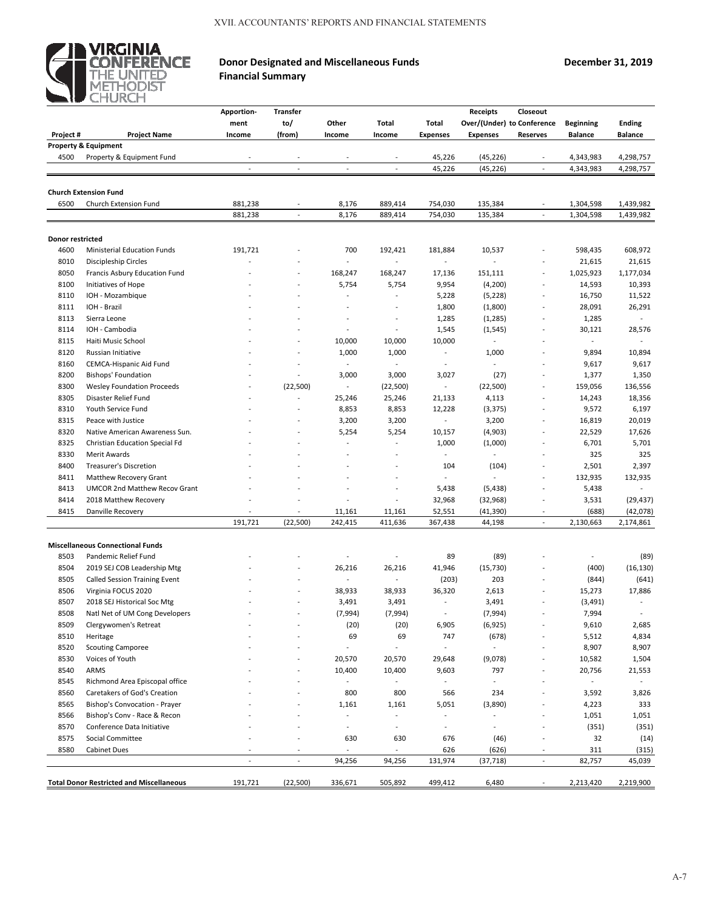

## **Donor Designated and Miscellaneous Funds Financial Summary**

**December 31, 2019**

|                  |                                                 | Apportion-     | Transfer                 |                          |                          |                          | Receipts                   | Closeout                 |                          |                          |
|------------------|-------------------------------------------------|----------------|--------------------------|--------------------------|--------------------------|--------------------------|----------------------------|--------------------------|--------------------------|--------------------------|
|                  |                                                 | ment           | to/                      | Other                    | Total                    | Total                    | Over/(Under) to Conference |                          | <b>Beginning</b>         | <b>Ending</b>            |
| Project#         | <b>Project Name</b>                             | Income         | (from)                   | Income                   | Income                   | <b>Expenses</b>          | <b>Expenses</b>            | <b>Reserves</b>          | <b>Balance</b>           | <b>Balance</b>           |
|                  | <b>Property &amp; Equipment</b>                 |                |                          |                          |                          |                          |                            |                          |                          |                          |
| 4500             | Property & Equipment Fund                       |                |                          |                          |                          | 45,226                   | (45, 226)                  |                          | 4,343,983                | 4,298,757                |
|                  |                                                 | $\sim$         | $\sim$                   | $\sim$                   | $\sim$                   | 45,226                   | (45, 226)                  | $\overline{\phantom{a}}$ | 4,343,983                | 4,298,757                |
|                  |                                                 |                |                          |                          |                          |                          |                            |                          |                          |                          |
|                  | <b>Church Extension Fund</b>                    |                |                          |                          |                          |                          |                            |                          |                          |                          |
| 6500             | Church Extension Fund                           | 881,238        | $\overline{a}$           | 8,176                    | 889,414                  | 754,030                  | 135,384                    | $\overline{a}$           | 1,304,598                | 1,439,982                |
|                  |                                                 | 881,238        |                          | 8,176                    | 889,414                  | 754,030                  | 135,384                    |                          | 1,304,598                | 1,439,982                |
|                  |                                                 |                |                          |                          |                          |                          |                            |                          |                          |                          |
| Donor restricted |                                                 |                |                          |                          |                          |                          |                            |                          |                          |                          |
| 4600             | Ministerial Education Funds                     | 191,721        |                          | 700                      | 192,421                  | 181,884                  | 10,537                     |                          | 598,435                  | 608,972                  |
| 8010             | <b>Discipleship Circles</b>                     | ÷,             |                          | $\overline{a}$           | $\overline{\phantom{a}}$ | $\overline{\phantom{a}}$ | $\blacksquare$             | $\overline{a}$           | 21,615                   | 21,615                   |
| 8050             | Francis Asbury Education Fund                   |                | $\overline{a}$           | 168,247                  | 168,247                  | 17,136                   | 151,111                    | $\overline{\phantom{a}}$ | 1,025,923                | 1,177,034                |
| 8100             | Initiatives of Hope                             |                |                          | 5,754                    | 5,754                    | 9,954                    | (4, 200)                   | $\overline{a}$           | 14,593                   | 10,393                   |
| 8110             | IOH - Mozambique                                |                |                          | $\overline{a}$           | $\sim$                   | 5,228                    | (5, 228)                   | $\overline{\phantom{a}}$ | 16,750                   | 11,522                   |
| 8111             | IOH - Brazil                                    |                |                          |                          | $\overline{\phantom{a}}$ | 1,800                    | (1,800)                    | $\overline{\phantom{a}}$ | 28,091                   | 26,291                   |
| 8113             | Sierra Leone                                    |                |                          |                          | ٠                        | 1,285                    | (1, 285)                   | $\overline{\phantom{a}}$ | 1,285                    | $\sim$                   |
| 8114             | IOH - Cambodia                                  |                |                          | $\overline{a}$           | $\overline{\phantom{a}}$ | 1,545                    | (1, 545)                   | $\overline{a}$           | 30,121                   | 28,576                   |
| 8115             | Haiti Music School                              |                |                          | 10,000                   | 10,000                   | 10,000                   | $\overline{\phantom{a}}$   | ÷,                       | $\overline{\phantom{a}}$ | $\omega$                 |
| 8120             | Russian Initiative                              |                |                          | 1,000                    | 1,000                    | $\blacksquare$           | 1,000                      | $\overline{a}$           | 9,894                    | 10,894                   |
| 8160             | CEMCA-Hispanic Aid Fund                         |                | $\overline{a}$           | $\overline{\phantom{a}}$ | $\overline{\phantom{a}}$ | $\overline{\phantom{a}}$ | $\overline{\phantom{a}}$   | $\overline{a}$           | 9,617                    | 9,617                    |
| 8200             | <b>Bishops' Foundation</b>                      |                |                          | 3,000                    | 3,000                    | 3,027                    | (27)                       |                          | 1,377                    | 1,350                    |
| 8300             | <b>Wesley Foundation Proceeds</b>               |                | (22, 500)                | $\blacksquare$           | (22, 500)                | $\blacksquare$           | (22, 500)                  | ÷,                       | 159,056                  | 136,556                  |
| 8305             | Disaster Relief Fund                            |                | $\overline{a}$           | 25,246                   | 25,246                   | 21,133                   | 4,113                      | $\overline{\phantom{a}}$ | 14,243                   | 18,356                   |
| 8310             | Youth Service Fund                              |                | ÷,                       | 8,853                    | 8,853                    | 12,228                   | (3, 375)                   | ÷,                       | 9,572                    | 6,197                    |
| 8315             | Peace with Justice                              |                |                          | 3,200                    | 3,200                    | $\overline{\phantom{a}}$ | 3,200                      | $\overline{a}$           | 16,819                   | 20,019                   |
| 8320             | Native American Awareness Sun.                  |                |                          | 5,254                    | 5,254                    | 10,157                   | (4,903)                    | $\overline{a}$           | 22,529                   | 17,626                   |
| 8325             | Christian Education Special Fd                  |                |                          | ÷,                       | $\overline{\phantom{a}}$ | 1,000                    | (1,000)                    |                          | 6,701                    | 5,701                    |
| 8330             | Merit Awards                                    |                |                          | ٠                        | $\overline{\phantom{a}}$ | $\overline{\phantom{a}}$ | $\overline{\phantom{a}}$   | $\overline{\phantom{a}}$ | 325                      | 325                      |
| 8400             | Treasurer's Discretion                          |                |                          |                          |                          | 104                      | (104)                      |                          | 2,501                    | 2,397                    |
| 8411             | Matthew Recovery Grant                          |                |                          |                          | ä,                       | $\overline{\phantom{a}}$ | $\overline{a}$             | $\overline{a}$           | 132,935                  | 132,935                  |
| 8413             | <b>UMCOR 2nd Matthew Recov Grant</b>            |                |                          |                          | $\overline{\phantom{a}}$ | 5,438                    | (5, 438)                   | $\overline{a}$           | 5,438                    |                          |
| 8414             | 2018 Matthew Recovery                           |                |                          | ä,                       | ٠                        | 32,968                   | (32, 968)                  | ÷,                       | 3,531                    | (29, 437)                |
| 8415             | Danville Recovery                               | $\overline{a}$ | $\overline{a}$           | 11,161                   | 11,161                   | 52,551                   | (41, 390)                  | $\overline{a}$           | (688)                    | (42, 078)                |
|                  |                                                 | 191,721        | (22, 500)                | 242,415                  | 411,636                  | 367,438                  | 44,198                     | $\overline{\phantom{a}}$ | 2,130,663                | 2,174,861                |
|                  |                                                 |                |                          |                          |                          |                          |                            |                          |                          |                          |
|                  | <b>Miscellaneous Connectional Funds</b>         |                |                          |                          |                          |                          |                            |                          |                          |                          |
| 8503             | Pandemic Relief Fund                            |                |                          |                          |                          | 89                       | (89)                       |                          |                          | (89)                     |
| 8504             | 2019 SEJ COB Leadership Mtg                     |                |                          | 26,216                   | 26,216                   | 41,946                   | (15, 730)                  |                          | (400)                    | (16, 130)                |
| 8505             | Called Session Training Event                   |                | $\overline{a}$           | $\blacksquare$           | $\overline{\phantom{a}}$ | (203)                    | 203                        | $\overline{a}$           | (844)                    | (641)                    |
| 8506             | Virginia FOCUS 2020                             |                | $\overline{\phantom{a}}$ | 38,933                   | 38,933                   | 36,320                   | 2,613                      |                          | 15,273                   | 17,886                   |
| 8507             | 2018 SEJ Historical Soc Mtg                     |                | $\overline{a}$           | 3,491                    | 3,491                    | $\overline{\phantom{a}}$ | 3,491                      |                          | (3, 491)                 | $\sim$                   |
| 8508             | Natl Net of UM Cong Developers                  |                |                          | (7,994)                  | (7,994)                  | $\overline{\phantom{a}}$ | (7,994)                    |                          | 7,994                    | $\overline{\phantom{a}}$ |
| 8509             | Clergywomen's Retreat                           |                |                          | (20)                     | (20)                     | 6,905                    | (6, 925)                   |                          | 9,610                    | 2,685                    |
| 8510             | Heritage                                        |                |                          | 69                       | 69                       | 747                      | (678)                      | $\overline{a}$           | 5,512                    | 4,834                    |
| 8520             | <b>Scouting Camporee</b>                        |                |                          | $\overline{a}$           | $\overline{a}$           | $\Box$                   | $\mathbb{L}^{\mathbb{N}}$  |                          | 8,907                    | 8,907                    |
| 8530             | Voices of Youth                                 |                | $\overline{a}$           | 20,570                   | 20,570                   | 29,648                   | (9,078)                    | $\overline{a}$           | 10,582                   | 1,504                    |
| 8540             | ARMS                                            |                | $\overline{a}$           | 10,400                   | 10,400                   | 9,603                    | 797                        | $\overline{a}$           | 20,756                   | 21,553                   |
| 8545             | Richmond Area Episcopal office                  |                |                          | $\overline{\phantom{a}}$ | $\blacksquare$           | $\overline{\phantom{a}}$ | $\overline{\phantom{a}}$   |                          | $\overline{\phantom{a}}$ | $\sim$                   |
| 8560             | Caretakers of God's Creation                    |                |                          | 800                      | 800                      | 566                      | 234                        | $\overline{a}$           | 3,592                    | 3,826                    |
| 8565             | Bishop's Convocation - Prayer                   |                | $\overline{a}$           | 1,161                    | 1,161                    | 5,051                    | (3,890)                    | $\overline{a}$           | 4,223                    | 333                      |
| 8566             | Bishop's Conv - Race & Recon                    |                |                          | $\overline{\phantom{a}}$ | $\overline{\phantom{a}}$ | $\overline{\phantom{a}}$ | $\overline{a}$             |                          | 1,051                    | 1,051                    |
| 8570             | Conference Data Initiative                      |                | $\overline{a}$           | $\overline{\phantom{a}}$ | $\overline{\phantom{a}}$ | $\overline{\phantom{a}}$ | $\blacksquare$             | -                        | (351)                    | (351)                    |
| 8575             | Social Committee                                |                |                          | 630                      | 630                      | 676                      | (46)                       |                          | 32                       | (14)                     |
| 8580             | <b>Cabinet Dues</b>                             |                | $\overline{a}$           | $\blacksquare$           | $\blacksquare$           | 626                      | (626)                      | $\overline{a}$           | 311                      | (315)                    |
|                  |                                                 | $\blacksquare$ | $\overline{\phantom{a}}$ | 94,256                   | 94,256                   | 131,974                  | (37, 718)                  | $\blacksquare$           | 82,757                   | 45,039                   |
|                  |                                                 |                |                          |                          |                          |                          |                            |                          |                          |                          |
|                  | <b>Total Donor Restricted and Miscellaneous</b> | 191,721        | (22, 500)                | 336,671                  | 505,892                  | 499,412                  | 6,480                      | $\overline{\phantom{a}}$ | 2,213,420                | 2,219,900                |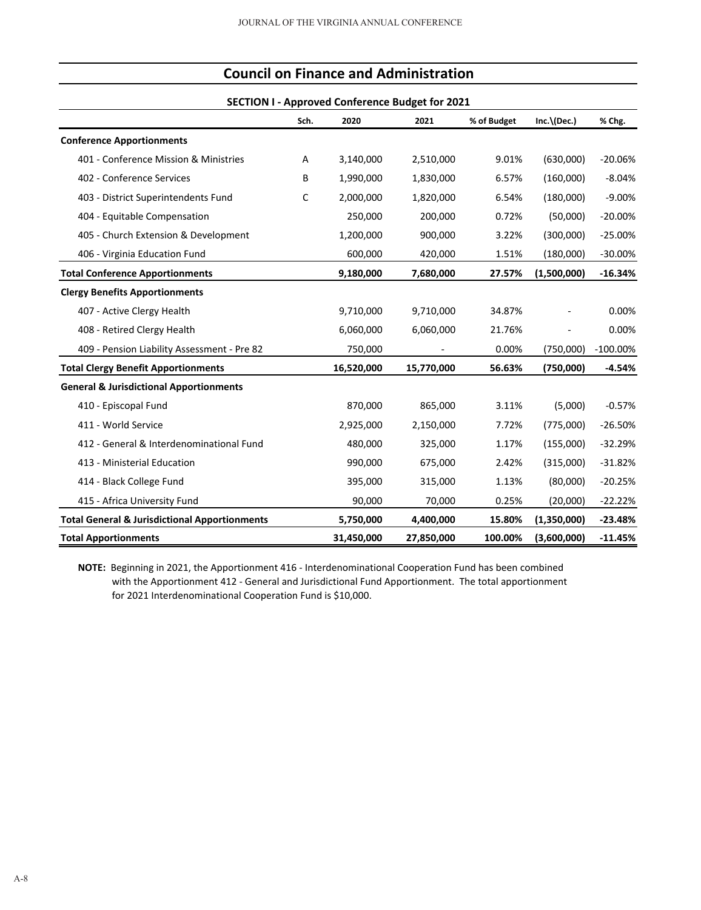## **Council on Finance and Administration**

|                                                          |      | <b>SECTION I - Approved Conference Budget for 2021</b> |            |             |             |             |
|----------------------------------------------------------|------|--------------------------------------------------------|------------|-------------|-------------|-------------|
|                                                          | Sch. | 2020                                                   | 2021       | % of Budget | Inc.\(Dec.) | % Chg.      |
| <b>Conference Apportionments</b>                         |      |                                                        |            |             |             |             |
| 401 - Conference Mission & Ministries                    | Α    | 3,140,000                                              | 2,510,000  | 9.01%       | (630,000)   | $-20.06%$   |
| 402 - Conference Services                                | В    | 1,990,000                                              | 1,830,000  | 6.57%       | (160,000)   | $-8.04%$    |
| 403 - District Superintendents Fund                      | C    | 2,000,000                                              | 1,820,000  | 6.54%       | (180,000)   | $-9.00%$    |
| 404 - Equitable Compensation                             |      | 250,000                                                | 200,000    | 0.72%       | (50,000)    | $-20.00%$   |
| 405 - Church Extension & Development                     |      | 1,200,000                                              | 900,000    | 3.22%       | (300,000)   | $-25.00%$   |
| 406 - Virginia Education Fund                            |      | 600,000                                                | 420,000    | 1.51%       | (180,000)   | $-30.00%$   |
| <b>Total Conference Apportionments</b>                   |      | 9,180,000                                              | 7,680,000  | 27.57%      | (1,500,000) | $-16.34%$   |
| <b>Clergy Benefits Apportionments</b>                    |      |                                                        |            |             |             |             |
| 407 - Active Clergy Health                               |      | 9,710,000                                              | 9,710,000  | 34.87%      |             | 0.00%       |
| 408 - Retired Clergy Health                              |      | 6,060,000                                              | 6,060,000  | 21.76%      |             | 0.00%       |
| 409 - Pension Liability Assessment - Pre 82              |      | 750,000                                                |            | 0.00%       | (750,000)   | $-100.00\%$ |
| <b>Total Clergy Benefit Apportionments</b>               |      | 16,520,000                                             | 15,770,000 | 56.63%      | (750,000)   | $-4.54%$    |
| <b>General &amp; Jurisdictional Apportionments</b>       |      |                                                        |            |             |             |             |
| 410 - Episcopal Fund                                     |      | 870,000                                                | 865,000    | 3.11%       | (5,000)     | $-0.57%$    |
| 411 - World Service                                      |      | 2,925,000                                              | 2,150,000  | 7.72%       | (775,000)   | $-26.50%$   |
| 412 - General & Interdenominational Fund                 |      | 480,000                                                | 325,000    | 1.17%       | (155,000)   | $-32.29%$   |
| 413 - Ministerial Education                              |      | 990,000                                                | 675,000    | 2.42%       | (315,000)   | $-31.82%$   |
| 414 - Black College Fund                                 |      | 395,000                                                | 315,000    | 1.13%       | (80,000)    | $-20.25%$   |
| 415 - Africa University Fund                             |      | 90,000                                                 | 70,000     | 0.25%       | (20,000)    | $-22.22%$   |
| <b>Total General &amp; Jurisdictional Apportionments</b> |      | 5,750,000                                              | 4,400,000  | 15.80%      | (1,350,000) | $-23.48%$   |
| <b>Total Apportionments</b>                              |      | 31,450,000                                             | 27,850,000 | 100.00%     | (3,600,000) | $-11.45%$   |

**NOTE:** Beginning in 2021, the Apportionment 416 - Interdenominational Cooperation Fund has been combined with the Apportionment 412 - General and Jurisdictional Fund Apportionment. The total apportionment for 2021 Interdenominational Cooperation Fund is \$10,000.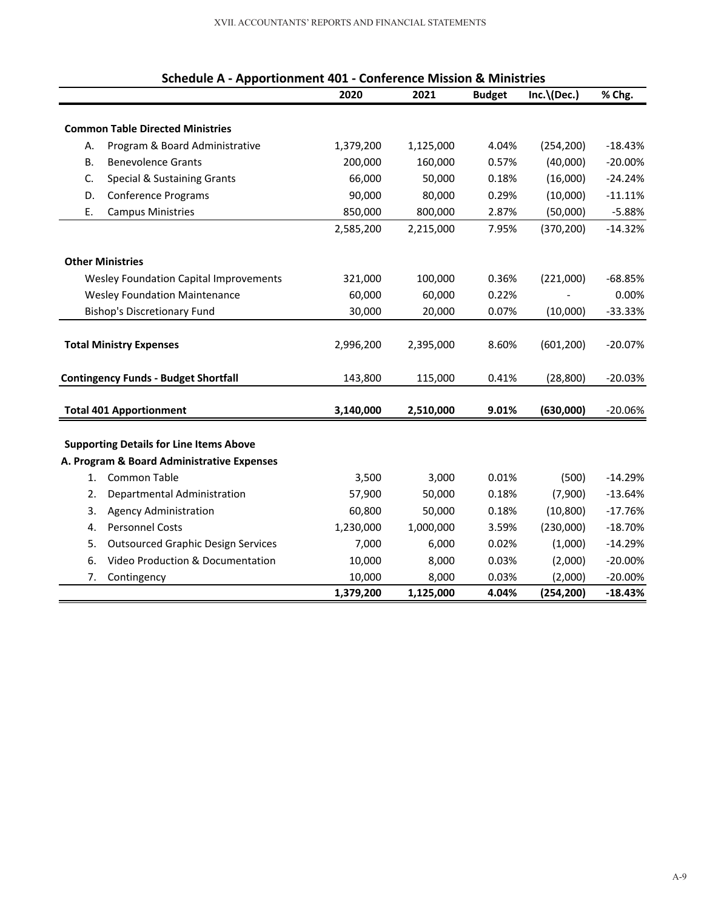|                                | Schedule A - Apportionment 401 - Conference Mission & Ministries |           |           |               |                          |           |
|--------------------------------|------------------------------------------------------------------|-----------|-----------|---------------|--------------------------|-----------|
|                                |                                                                  | 2020      | 2021      | <b>Budget</b> | $Inc. \setminus (Dec.)$  | % Chg.    |
|                                | <b>Common Table Directed Ministries</b>                          |           |           |               |                          |           |
| А.                             | Program & Board Administrative                                   | 1,379,200 | 1,125,000 | 4.04%         | (254, 200)               | $-18.43%$ |
| В.                             | <b>Benevolence Grants</b>                                        | 200,000   | 160,000   | 0.57%         | (40,000)                 | $-20.00%$ |
| C.                             | Special & Sustaining Grants                                      | 66,000    | 50,000    | 0.18%         | (16,000)                 | $-24.24%$ |
| D.                             | <b>Conference Programs</b>                                       | 90,000    | 80,000    | 0.29%         | (10,000)                 | $-11.11%$ |
| Ε.                             | <b>Campus Ministries</b>                                         | 850,000   | 800,000   | 2.87%         | (50,000)                 | $-5.88%$  |
|                                |                                                                  | 2,585,200 | 2,215,000 | 7.95%         | (370, 200)               | $-14.32%$ |
| <b>Other Ministries</b>        |                                                                  |           |           |               |                          |           |
|                                | <b>Wesley Foundation Capital Improvements</b>                    | 321,000   | 100,000   | 0.36%         | (221,000)                | $-68.85%$ |
|                                | <b>Wesley Foundation Maintenance</b>                             | 60,000    | 60,000    | 0.22%         | $\overline{\phantom{a}}$ | 0.00%     |
|                                | <b>Bishop's Discretionary Fund</b>                               | 30,000    | 20,000    | 0.07%         | (10,000)                 | $-33.33%$ |
|                                |                                                                  |           |           |               |                          |           |
| <b>Total Ministry Expenses</b> |                                                                  | 2,996,200 | 2,395,000 | 8.60%         | (601, 200)               | $-20.07%$ |
|                                | <b>Contingency Funds - Budget Shortfall</b>                      | 143,800   | 115,000   | 0.41%         | (28, 800)                | $-20.03%$ |
|                                | <b>Total 401 Apportionment</b>                                   | 3,140,000 | 2,510,000 | 9.01%         | (630,000)                | $-20.06%$ |
|                                | <b>Supporting Details for Line Items Above</b>                   |           |           |               |                          |           |
|                                | A. Program & Board Administrative Expenses                       |           |           |               |                          |           |
| 1.                             | Common Table                                                     | 3,500     | 3,000     | 0.01%         | (500)                    | $-14.29%$ |
| 2.                             | <b>Departmental Administration</b>                               | 57,900    | 50,000    | 0.18%         | (7,900)                  | $-13.64%$ |
| 3.                             | <b>Agency Administration</b>                                     | 60,800    | 50,000    | 0.18%         | (10, 800)                | $-17.76%$ |
| 4.                             | <b>Personnel Costs</b>                                           | 1,230,000 | 1,000,000 | 3.59%         | (230,000)                | $-18.70%$ |
| 5.                             | <b>Outsourced Graphic Design Services</b>                        | 7,000     | 6,000     | 0.02%         | (1,000)                  | $-14.29%$ |
| 6.                             | Video Production & Documentation                                 | 10,000    | 8,000     | 0.03%         | (2,000)                  | $-20.00%$ |
| 7.                             | Contingency                                                      | 10,000    | 8,000     | 0.03%         | (2,000)                  | $-20.00%$ |
|                                |                                                                  | 1,379,200 | 1,125,000 | 4.04%         | (254, 200)               | $-18.43%$ |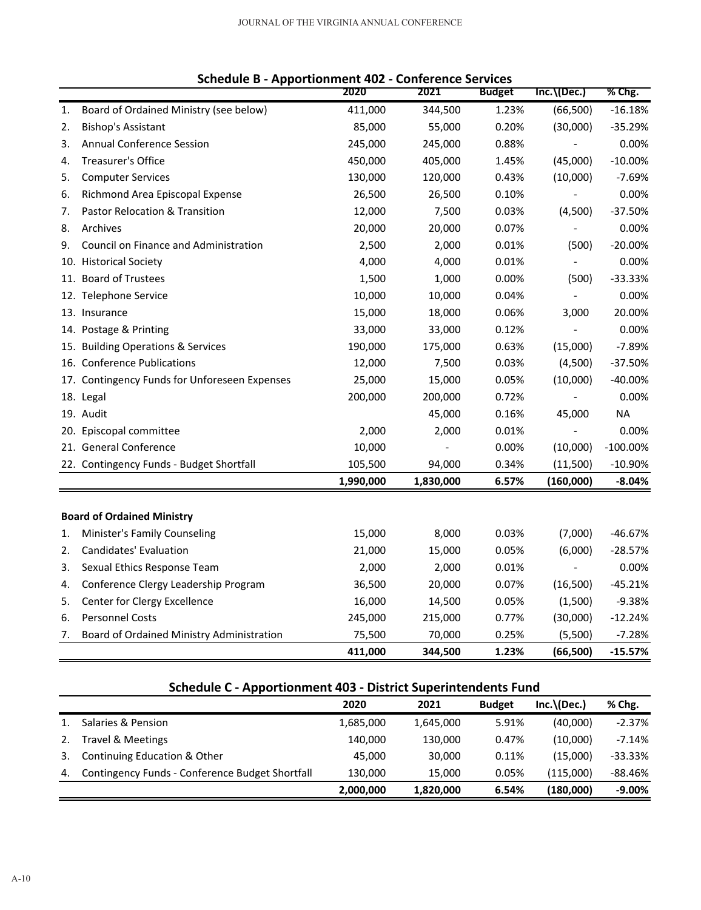|  | Schedule B - Apportionment 402 - Conference Services |  |  |
|--|------------------------------------------------------|--|--|
|--|------------------------------------------------------|--|--|

|    |                                               | 2020      | 2021      | <b>Budget</b> | $Inc. \setminus (Dec.)$ | % Chg.      |
|----|-----------------------------------------------|-----------|-----------|---------------|-------------------------|-------------|
| 1. | Board of Ordained Ministry (see below)        | 411,000   | 344,500   | 1.23%         | (66, 500)               | $-16.18%$   |
| 2. | <b>Bishop's Assistant</b>                     | 85,000    | 55,000    | 0.20%         | (30,000)                | $-35.29%$   |
| 3. | <b>Annual Conference Session</b>              | 245,000   | 245,000   | 0.88%         |                         | 0.00%       |
| 4. | Treasurer's Office                            | 450,000   | 405,000   | 1.45%         | (45,000)                | $-10.00%$   |
| 5. | <b>Computer Services</b>                      | 130,000   | 120,000   | 0.43%         | (10,000)                | $-7.69%$    |
| 6. | Richmond Area Episcopal Expense               | 26,500    | 26,500    | 0.10%         |                         | 0.00%       |
| 7. | Pastor Relocation & Transition                | 12,000    | 7,500     | 0.03%         | (4,500)                 | $-37.50%$   |
| 8. | Archives                                      | 20,000    | 20,000    | 0.07%         |                         | 0.00%       |
| 9. | Council on Finance and Administration         | 2,500     | 2,000     | 0.01%         | (500)                   | $-20.00%$   |
|    | 10. Historical Society                        | 4,000     | 4,000     | 0.01%         | $\frac{1}{2}$           | 0.00%       |
|    | 11. Board of Trustees                         | 1,500     | 1,000     | 0.00%         | (500)                   | $-33.33%$   |
|    | 12. Telephone Service                         | 10,000    | 10,000    | 0.04%         |                         | 0.00%       |
|    | 13. Insurance                                 | 15,000    | 18,000    | 0.06%         | 3,000                   | 20.00%      |
|    | 14. Postage & Printing                        | 33,000    | 33,000    | 0.12%         |                         | 0.00%       |
|    | 15. Building Operations & Services            | 190,000   | 175,000   | 0.63%         | (15,000)                | $-7.89%$    |
|    | 16. Conference Publications                   | 12,000    | 7,500     | 0.03%         | (4,500)                 | $-37.50%$   |
|    | 17. Contingency Funds for Unforeseen Expenses | 25,000    | 15,000    | 0.05%         | (10,000)                | $-40.00%$   |
|    | 18. Legal                                     | 200,000   | 200,000   | 0.72%         |                         | 0.00%       |
|    | 19. Audit                                     |           | 45,000    | 0.16%         | 45,000                  | <b>NA</b>   |
|    | 20. Episcopal committee                       | 2,000     | 2,000     | 0.01%         |                         | 0.00%       |
|    | 21. General Conference                        | 10,000    |           | 0.00%         | (10,000)                | $-100.00\%$ |
|    | 22. Contingency Funds - Budget Shortfall      | 105,500   | 94,000    | 0.34%         | (11,500)                | $-10.90%$   |
|    |                                               | 1,990,000 | 1,830,000 | 6.57%         | (160,000)               | $-8.04%$    |
|    |                                               |           |           |               |                         |             |
|    | <b>Board of Ordained Ministry</b>             |           |           |               |                         |             |
| 1. | Minister's Family Counseling                  | 15,000    | 8,000     | 0.03%         | (7,000)                 | $-46.67%$   |
| 2. | Candidates' Evaluation                        | 21,000    | 15,000    | 0.05%         | (6,000)                 | $-28.57%$   |
| 3. | Sexual Ethics Response Team                   | 2,000     | 2,000     | 0.01%         |                         | 0.00%       |
| 4. | Conference Clergy Leadership Program          | 36,500    | 20,000    | 0.07%         | (16, 500)               | $-45.21%$   |
| 5. | Center for Clergy Excellence                  | 16,000    | 14,500    | 0.05%         | (1,500)                 | $-9.38%$    |
| 6. | <b>Personnel Costs</b>                        | 245,000   | 215,000   | 0.77%         | (30,000)                | $-12.24%$   |
| 7. | Board of Ordained Ministry Administration     | 75,500    | 70,000    | 0.25%         | (5,500)                 | $-7.28%$    |
|    |                                               | 411,000   | 344,500   | 1.23%         | (66, 500)               | $-15.57%$   |

# **Schedule C - Apportionment 403 - District Superintendents Fund**

|    |                                                 | 2020      | 2021      | <b>Budget</b> | $Inc. \setminus (Dec.)$ | % Chg.    |
|----|-------------------------------------------------|-----------|-----------|---------------|-------------------------|-----------|
|    | Salaries & Pension                              | 1,685,000 | 1,645,000 | 5.91%         | (40,000)                | $-2.37%$  |
| 2. | Travel & Meetings                               | 140.000   | 130,000   | 0.47%         | (10,000)                | $-7.14%$  |
| 3. | Continuing Education & Other                    | 45.000    | 30,000    | 0.11%         | (15,000)                | $-33.33%$ |
| 4. | Contingency Funds - Conference Budget Shortfall | 130.000   | 15.000    | 0.05%         | (115,000)               | $-88.46%$ |
|    |                                                 | 2,000,000 | 1,820,000 | 6.54%         | (180,000)               | $-9.00\%$ |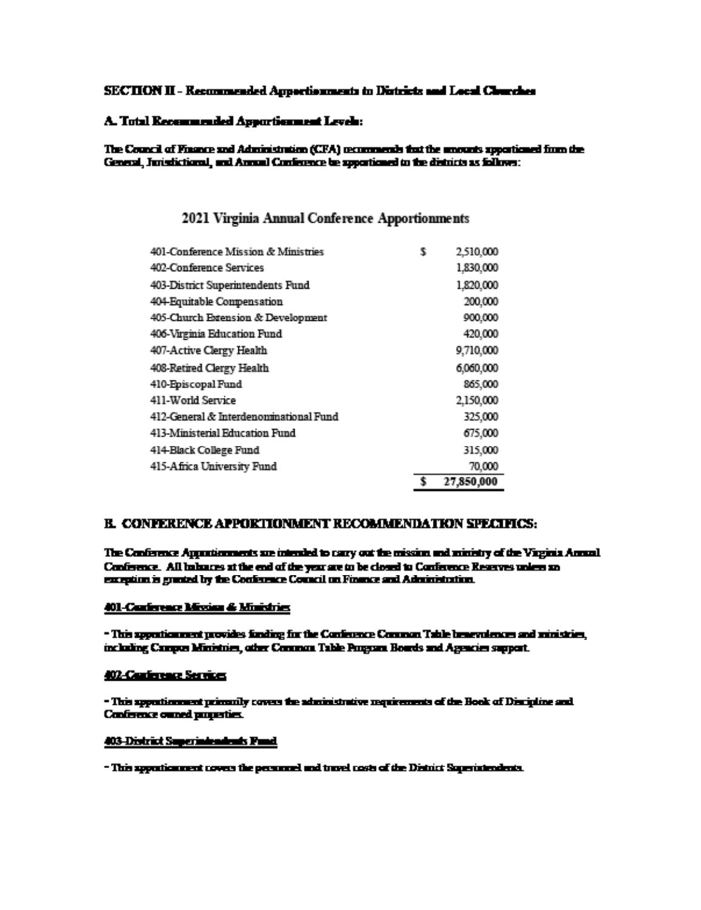## SECTION II - Recommended Apportionments to Districts and Local Clourches

#### A. Total Recommended Apportionment Levels:

The Council of Finance and Administration (CFA) recommends that the amounts apportioned from the General, Jurisdictional, and Annual Conference be apportioned to the districts as follows:

| 406-Virginia Education Fund            | 420,000    |
|----------------------------------------|------------|
| 407-Active Clergy Health               | 9,710,000  |
| 408-Retired Clergy Health              | 6,060,000  |
| 410-Episcopal Fund                     | 865,000    |
| 411-World Service                      | 2,150,000  |
| 412-General & Interdenominational Fund | 325,000    |
| 413-Ministerial Education Fund         | 675,000    |
| 414-Black College Fund                 | 315,000    |
| 415-Africa University Fund             | 70,000     |
|                                        | 27,850,000 |

## 2021 Virginia Annual Conference Apportionments

## **B. CONFERENCE APPORTIONMENT RECOMMENDATION SPECIFICS:**

The Conference Approximments are intended to carry out the mission and ministry of the Virginia Annual Conference. All balances at the end of the year are to be closed to Conference Reserves unless an exception is granted by the Conference Council on Finance and Administration.

#### 401-Conference Mixsion & Ministries

- This apportionment provides funding for the Conference Common Table benevolences and ministries, including Campus Ministries, other Common Table Program Boards and Agencies support.

#### 402-Conference Services

- This appeationment primarily covers the administrative requirements of the Book of Disripline and **Conference owned properties.** 

#### 403-District Superintendents Fund

- This apportionment covers the personnel and travel costs of the District Superintendents.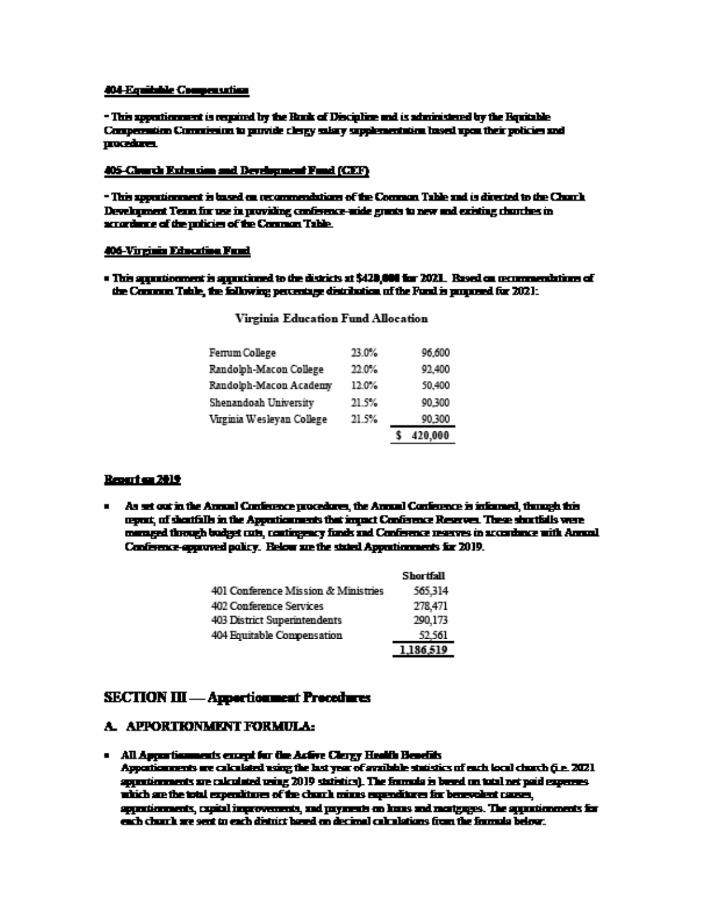#### 404 Equibide Compensation

- This apportionment is required by the Bruk of Discipline and is administered by the Bquitable Compensation Commission to provide clergy salary supplementation lassed upon their policies and **mordare** 

#### 405-Clearch Extractors and Development Fund (CEF).

- This approximatent is based on recommendations of the Common Table and is directed to the Church Development Team for use in providing conference-wide grants to new and existing churches in accordunce of the puticies of the Common Table.

#### <u>406-Virginia Education Fund</u>

. This approximant is approximed to the districts at \$420,000 for 2021. Rased on recommendations of the Common Table, the following percentage distribution of the Fund is proposed for 2021:

|       | 420,000 |
|-------|---------|
| 21.5% | 90.300  |
| 21.5% | 90.300  |
| 12.0% | 50,400  |
| 22.0% | 92,400  |
| 23.0% | 96,600  |
|       |         |

## Virginia Education Fund Allocation

#### Report on 2019

As set out in the Annual Conference procedures, the Annual Conference is informed, through this i report, of shortfalls in the Apportionments that impact Conference Reserves. These shortfalls were managed through budget rule, contingency funds and Conference reserves in accordance with Annual Conference-approved policy. Relow are the stated Approximatents for 2019.

|                                     | Shortfall |
|-------------------------------------|-----------|
| 401 Conference Mission & Ministries | 565.314   |
| 402 Conference Services             | 278,471   |
| 403 District Superintendents        | 290,173   |
| 404 Equitable Compensation          | 52.561    |
|                                     | 1,186,519 |

## **SECTION III - Apportionment Procedures**

## A. APPORTIONMENT FORMULA:

All Agent times and for the Active Clergy Health Benefits

Apportionments are calculated using the last year of available statistics of each local charch (i.e. 2021) approximatents are calculated using 2019 statistics). The formula is bused on total net paid expenses which are the total expenditures of the church minus expenditures for benevolent causes, approximatents, capital improvements, and pryments on hours and mortgages. The approximatents for each church are sent to each district based on decimal culculations from the formula below.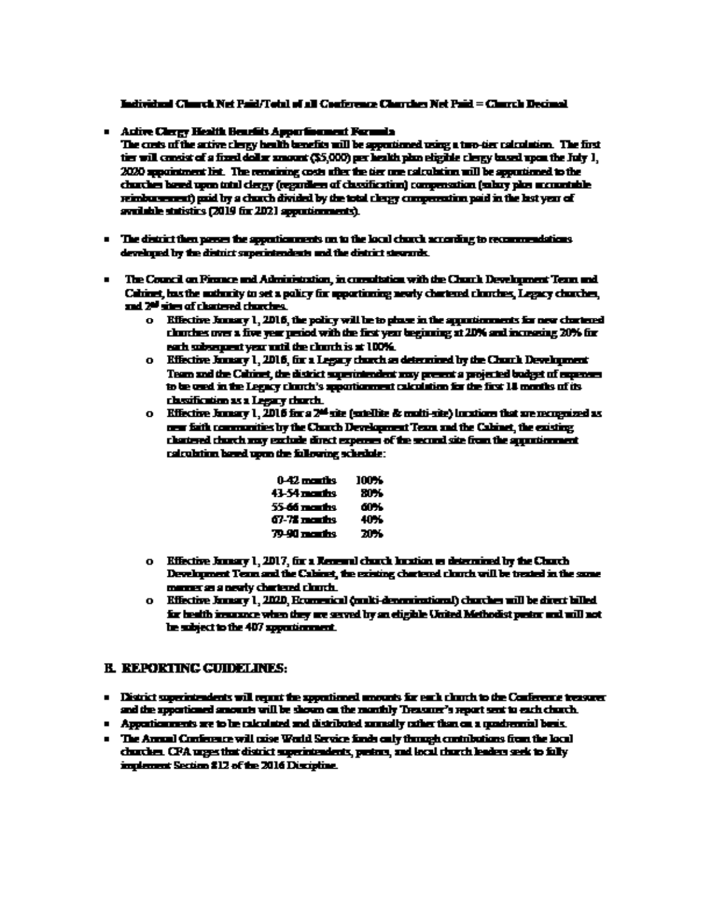#### Individual Claush Net Paid/Total of all Conference Charches Net Paid = Clausch Decimal

#### Active Clergy Health Benefits Apperforment Formula

The costs of the active clergy bentib banefits will be approximed using a two-tier calculation. The first tier will cansist of a fixed dollar amount (\$5,000) per health plan eligible clergy based upon the July 1, 2020 appointment list. The remaining costs after the tier one calculation will be apportioned to the churches based upon total clergy (regardless of classification) compensation (salary plus accountable reimburgement) paid by a church divided by the total clergy compensation paid in the last year of switchle statistics (2019 for 2021 approximated).

- . The district then passes the apportion ments on to the local church according to recommendations. developed by the district superintendents and the district stewards.
- . The Council on Pinnace and Administration, in correctation with the Church Development Term and Cabinet, has the authority to set a policy for apportioning nearly chartered cloudine, Legacy charches, and 2<sup>00</sup> sites of chartered charches.
	- o Effective Jonsey 1, 2016, the policy will be to place in the approximancts for new chartered cloudnes over a five year period with the first year beginning at 20% and increasing 20% for each subsequent year patil the clouch is at 100%.
	- o Effective Juneary 1, 2016, for a Legacy charch as determined by the Church Development Team and the Cahinet, the district superintendent may present a projected budget of expenses to be used in the Legacy church's apportionment calculation for the first 18 months of its <u>cheathcainn as a Legacy church.</u>
	- o Rifective Jamary 1, 2016 for a 2<sup>64</sup> site (satellite & multi-site) locations that are recognized as new faith communities by the Church Development Texm and the Cabinet, the existing changed church may exclude direct expenses of the second site from the approximated raiculation based upon the following schedule:

| 0-42 martins | 1005. |
|--------------|-------|
| 43-54 marts  | 80%   |
| 55.66 mentre | 60 X. |
| 67-75 marts  | 40%   |
| 79-90 mentu  | 70%   |

- o Effective Jamary 1, 2017, for a Remand church Innation as determined by the Church Development Term and the Cabinet, the existing chartered clurch will be treated in the same manner as a newly chartered clustch.
- o Effective Jamary 1, 2020, Economical (nulki-denominational) charches will be direct billed for health insurance when they are served by an eligible United Methodist pustor and will not be subject to the 407 approximatent.

## **R. REPORTING CUIDELINES:**

- . District superintendents will report the apportioned amounts for each clouch to the Conference treasurer and the apportioned amounts will be shown on the monthly Treasurer's report sent to each church.
- Apportionments are to be calculated and distributed sumsally cather than on a quadrennial basis.
- The Annual Conference will use World Service funds only through contributions from the local churches. CPA urges that district superintendents, pustors, and local church leaders seek to fully implement Section \$12 of the 2016 Discipline.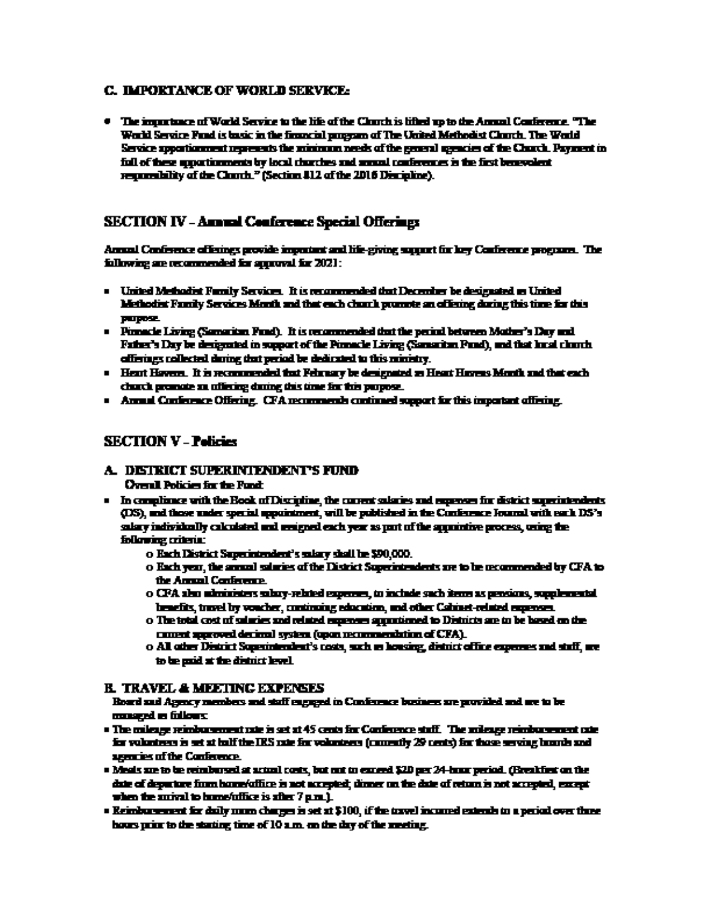## **C. IMPORTANCE OF WORLD SERVICE:**

. The importance of World Service to the life of the Clouch is lifted up to the Annual Conference. "The World Service Pand is basic in the financial program of The United Methodist Clauch. The World Service apportionment represents the minimum needs of the general agencies of the Church. Payment in full of these apportionments by local churches and annual conferences is the first benevolent required:lity of the Clurch." (Section 812 of the 2016 Discipline).

## **SECTION IV - Annual Conference Special Offerings**

Annual Conference offerings provide important and life-giving support for key Conference programs. The following are recommended for approval for 2021:

- " United Methodist Family Services. It is recommended that December be designated as United Methodist Family Services Month and that each charrh promote an offering during this time for this purpose.
- . Pinnacle Living (Samaritan Puad). It is recommended that the period between Mother's Day and Father's Day be designated in support of the Pinnacle Living (Samarium Pund), and that laual clumb. offerings collected during that period be dedicated to this ministry.
- . Heart Havens. It is recommended that February be designated as Heart Havens Month and that each church promote an offering during this time for this purpose.
- . Annual Conference Offering. CFA recommends continued support for this important offering.

## **SECTION V-Policies**

# **A. DISTRICT SUPERINTENDENT'S FUND**

**Overall Policies for the Punch** 

- . In compliance with the Book of Discipline, the current salaries and expenses for district superintendents. (DS), and those under special appointment, will be published in the Conference Journal with each DS's salary individually calculated and avaigned each year as part of the appointive process, using the following criteria:
	- o Each District Superintendent's salary shall be \$90,000.
	- o Each year, the annual salaries of the District Superintendents are to be recommended by CFA to the Annual Conference.
	- o CFA also administers salary-related experient, to include such items as pensions, supplemental benefits, travel by voucher, continuing education, and other Cabinet-related expenses.
	- o The total cost of salaries and related expenses approximed to Districts are to be based on the coment approved derived system (upon recommendation of CFA).
	- o All other District Superintendent's costs, such as housing, district office expenses and staff, are to be mid at the district level.

## **R. TRAVEL & MEETING EXPENSES**

Roard and Agency members and staff raggged in Conference business are provided and are to be managed as follows:

- . The mileage reinburgement rate is set at 45 cents for Conference staff. The mileage reinburgement rate for volunteers is set at half the IRS rate for volunteers (corrently 29 cents) for those serving branch and servies of the Conference.
- . Meals are to be reimburged at actual costs, but not to exceed \$20 per 24-hour period. (Breakfies on the date of deputiare from home/office is not accepted; dinner on the date of return is not accepted, except when the autival to humefulfice is after  $7 \mu m$ .).
- $\bullet$  Reimburgenent for duily mum charges is set at \$100, if the travel incurred extends to a period over three hours print to the stating time of 10 a.m. on the day of the meeting.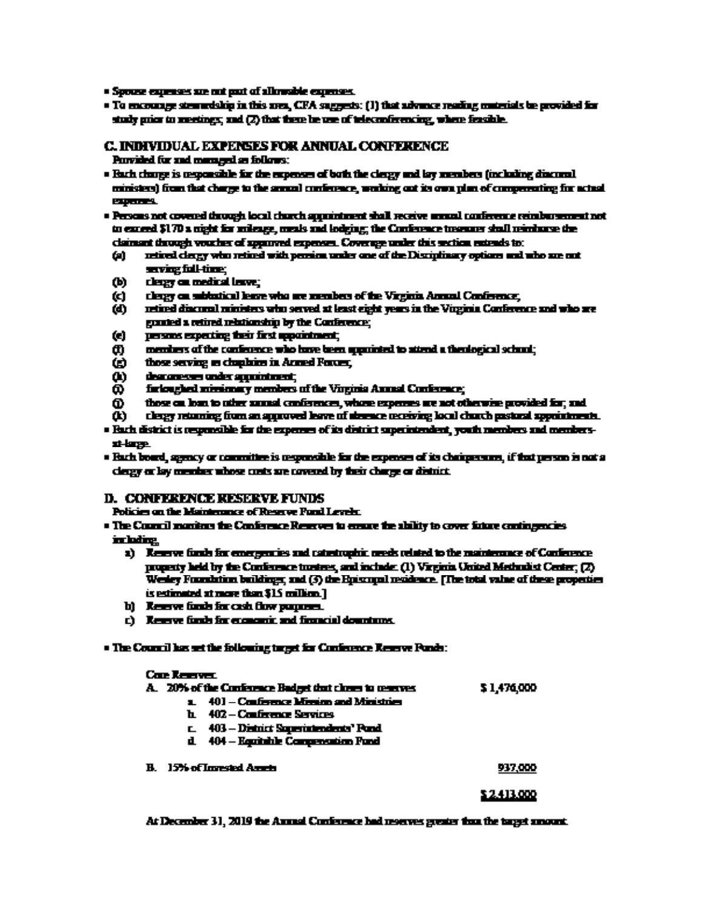- . Spouse expenses are not part of allowable expenses.
- . To encourage stemutiship in this area, CFA suggests: (1) that advance reading muterials be provided for study price to meetings; and (2) that there be use of teleconferencing, where feasible.

## C. INDIVIDUAL EXPENSES FOR ANNUAL CONFERENCE

Purvided for and managed as follows:

- . Buch change is responsible for the expenses of both the clergy and lay members (including diacroral ministers) from that charge to the annual conference, working out its own plan of compensative for actual **EXPERTISE**
- . Persons not covered through local church appointment shall receive annual conference reimburgement not to exceed \$170 a night for mileage, meals and lodging; the Conference tracturer shall reimbarse the claimant through woucher of apparent expenses. Coverage under this section extends to:
	- netived clergy who retired with persion under one of the Disciplinary options and who are not Ø. saving full-time;
	- ω clergy on medical leave;
	- 61. clergy on subtation) leave who are members of the Virginia Annual Conference,
	- 60 neticed diacoral ministers who served at least eight years in the Virginia Conference and who are granted a retired relationship by the Conference:
	- œ. persons experting their first appointment;
	- members of the conference who have been appointed to strend a theological school; መ
	- ω those serving as chaplains in Armed Forcer,
	- descoresses under apprintment; Ф.
	- finloughed missionary members of the Virginia Annual Conference: 60.
	- those on loan to other annual conferences, whose experies are not otherwise provided for; and 60
	- ጩ clergy returning from an approved here of absence receiving local church pastural approximants.
- . Buch district is responsible for the expenses of its district superintendent, youth members and membersat-lapse.
- . Huch board, agency or committee is responsible for the expenses of its chairpersons, if that person is not a clergy or lay member whose crets are covered by their charge or district.

## **D. CONFERENCE RESERVE FUNDS**

Policies on the Maintenance of Reserve Fund Levels.

- . The Council manitors the Conference Reserves to ensure the ability to cover future contingencies. in Indine.
	- a) Reserve funds for emergencies and cateriorphic meak related to the maintenance of Configurate property held by the Conference trustees, and include: (1) Virginia United Methodist Center; (2) Wedey Foundation buildings; and (3) the Episonyal residence. [The total value of these properties is estimated at more than \$15 million.]
	- b) Renewe funds for cash flow purgment.
	- c) Reserve funds for economic and financial downturns.
- . The Council has set the following target for Conference Renewe Punds:

#### **Care Reserves.**

| A. 20% of the Conference Badget that closes to reserves | \$1,476,000 |
|---------------------------------------------------------|-------------|
| 1. 401 - Conference Mireiro and Ministries              |             |
| <b>h. 402 – Conference Services</b>                     |             |
| <b>c.</b> 403 – District Superintendents' Fund          |             |
| d. 404 - Equitable Compensation Fund                    |             |
| <b>B.</b> 15% of Invested Arrest                        | 937,000     |
|                                                         | 52.413.000  |

At December 31, 2019 the Annual Conference had reserves greater than the target amount.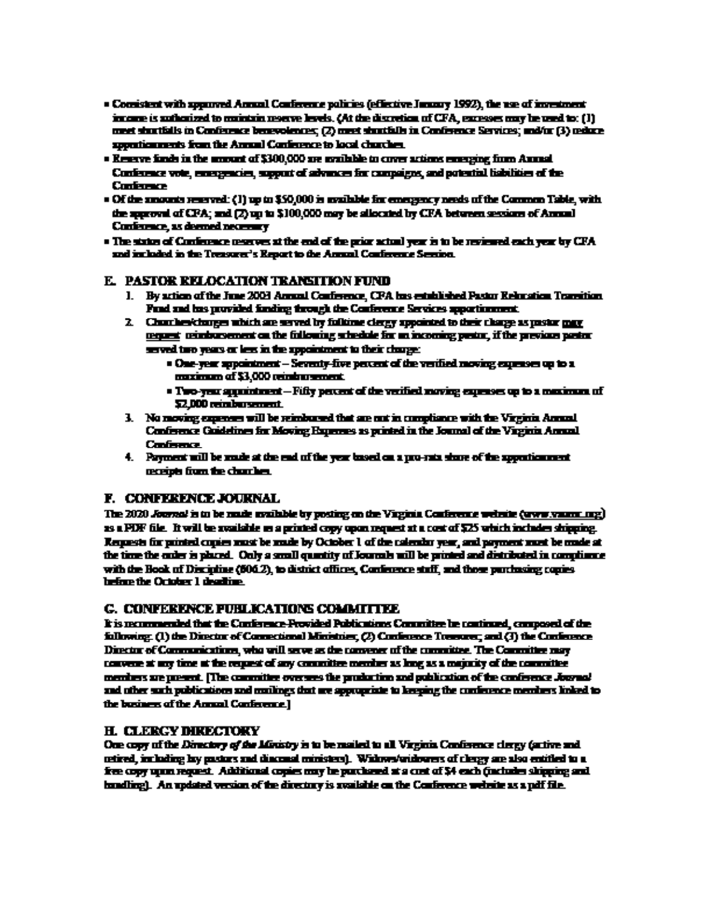- . Consistent with apparent Annual Conference palicies (effective January 1992), the use of investment integre is sutherized to maintain reserve levels. (At the discretion of CFA, excesses may be used to: (1) meet shuitfalls in Conference benevolences; (2) meet shuitfalls in Conference Services; and/or (3) reduce apportionments from the Annual Conference to local churches.
- . Reserve funds in the annuat of \$300,000 are available to cover actions emerging from Annual Conference yote, exergencies, support of advances for compaigns, and potential liabilities of the **Conference**
- . Of the amounts reserved: (1) up to \$50,000 is available for emergency needs of the Common Table, with the approval of CPA; and (2) up to \$100,000 may be allocated by CFA between sextons of Annual Conference, as deemed necessary
- . The states of Conference reserves at the end of the prior actual year is to be reviewed each year by CFA. and included in the Treasurer's Report to the Annual Conference Seenion.

## E. PASTOR RELOCATION TRANSITION FUND

- 1. By action of the June 2003 Annual Conference, CFA has established Pastor Rebustion. Transition. Find and has provided funding through the Conference Services apportionment.
- 2. Churches/charges which are served by folking clergy appointed to their charge as pastor may request reimborsement on the following schedule for an incoming pastor, if the previous pastor served two years or less in the appointment to their charge:
	- . One-year appointment Seventy-five percent of the verified moving expenses up to a maximum of \$3,000 reinburgment.
	- . Two-year apprintment Fifty percent of the verified moving expenses up to a maximum of \$2,000 reimbursement.
- 3. No moving expenses will be reimborsed that are not in compliance with the Virginia Annual Conference Cuidelines for Moving Rapeness as printed in the Journal of the Virginia Annual **Conference**
- 4. Payment will be made at the end of the year based on a pro-rate share of the apportionment exeigts from the chamber.

## F. CONFERENCE JOURNAL

The 2020 *Journal is to be made available by posting on the Virginia Conference website (www.yaurn.org*).  $\mathbf{z}$ s a PDF file. It will be symishie as a printed copy upon request at a cost of \$25 which includes shipping. Requests for printed copies must be made by October 1 of the calendar year, and payment must be made at the time the order is placed. Only a small quantity of Journals will be printed and distributed in compliance with the Hook of Discipline (606.2), to district offices, Conference stuff, and those purchasing copies. before the October 1 deadline.

## **G. CONFERENCE FUBLICATIONS COMMITTEE**

It is necommended that the Conference-Provided Publications Committee be continued, composed of the following: (1) the Director of Connectional Ministrier; (2) Confirmere Tremurer; and (3) the Confirmere Director of Communications, who will serve as the convener of the committee. The Committee may converte at any time at the request of any committee member as long as a majority of the committee members are present. [The committee overgees the production and publication of the conference Journal and other such publications and mailings that are appropriate to keeping the conference members linked to the business of the Annual Conference.]

## **H. CLERCY DIRECTORY**

One copy of the Directory of the Ministry is to be mailed to all Virginia Conference clergy (active and retired, including bay pastors and dincunal ministers). Withwes/oridowers of cleagy are also entitled to a free copy upon request. Additional copies may be purchased at a cost of \$4 each functuales shipping and bundling). An updated version of the directory is available on the Conference website as a pdf file.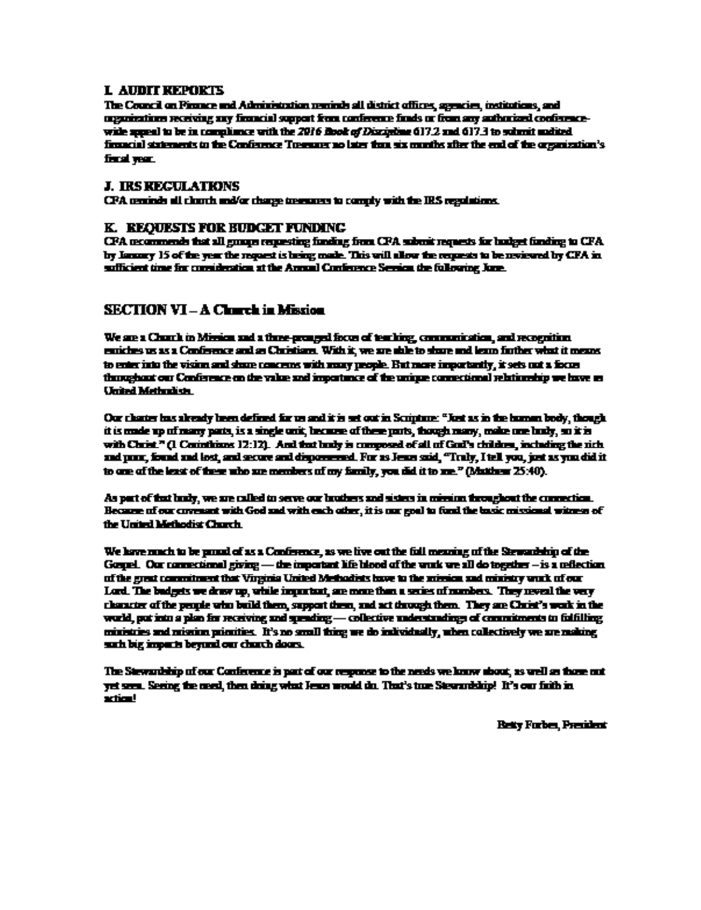## **L AUDIT REPORTS**

The Council on Pinnace and Administration reminds all district offices, agencies, institutions, and assairation receiving any financial support from conference finals or from any authorized conferencewide appeal to be in compliance with the 2016 Book of Discipline 617.2 and 617.3 to submit and/ord financial statements to the Conference Toerager no later than aix munths after the end of the organization's findal year.

## **J. IRS RECULATIONS**

CFA reminds all clurch and/or charge treasurers to comply with the IRS resulations.

## K. REQUESTS FOR BUDGET FUNDING

CPA recommends that all groups requesting funding from CPA submit requests for hudget funding to CPA by January 15 of the year the request is being made. This will allow the requests to be neviewed by CPA in sufficient time for consideration at the Annual Conference Sersion the following June.

## **SECTION VI - A Clearch in Mission**

We are a Church in Mission and a three-pronged focus of teaching, communication, and recognition. emiches us as a Conference and as Christians. With it, we are able to share and learn forther what it means. to enter into the vision and share concerns with many uscale. But more importantly, it sets not a focus throughout our Conference on the value and importance of the unique connectional relationship we have as **United Methodists** 

Our charter has already been defined for us and it is set out in Scripture: "Just as in the human body, though it is made up of many parts, is a single unit, because of these parts, though many, make one budy, so it is with Christ." (1 Contritions 12:12). And that budy is composed of all of God's children, including the rich and para, found and lost, and secure and disposurered. For as Jesus said, "Truly, I tell you, just as you did it to one of the least of these who are members of my family, you did it to me." (Matthew  $25:40$ ).

As part of that budy, we are called to serve our bruthers and sisters in minsion throughout the connection. Because of our covenant with God and with each other, it is our goal to fund the basic missional witness of the United Methodist Church.

We have much to be proud of as a Conference, as we live out the full meaning of the Stewardship of the Gorgel. Our connectional giving - the important life blood of the work we all do together - is a reflection. of the great commitment that Virginia United Methodiets have to the mission and ministry work of our Lard. The budgets we draw up, while important, are more than a series of numbers. They reveal the very character of the people who build them, support them, and act through them. They are Christ's work in the world, put into a plan for receiving and spending - collective understandings of commitments to folfilling ministries and mission primities. It's no small thing we do individually, when collectively we are making such big impacts beyond our church doors.

The Stewardship of our Conference is part of our response to the needs we know about, as well as those not yet sees. Seeing the need, then doing what Jesus would do. That's true Stewardship! It's our finith in sction!

**Reity Furber, President**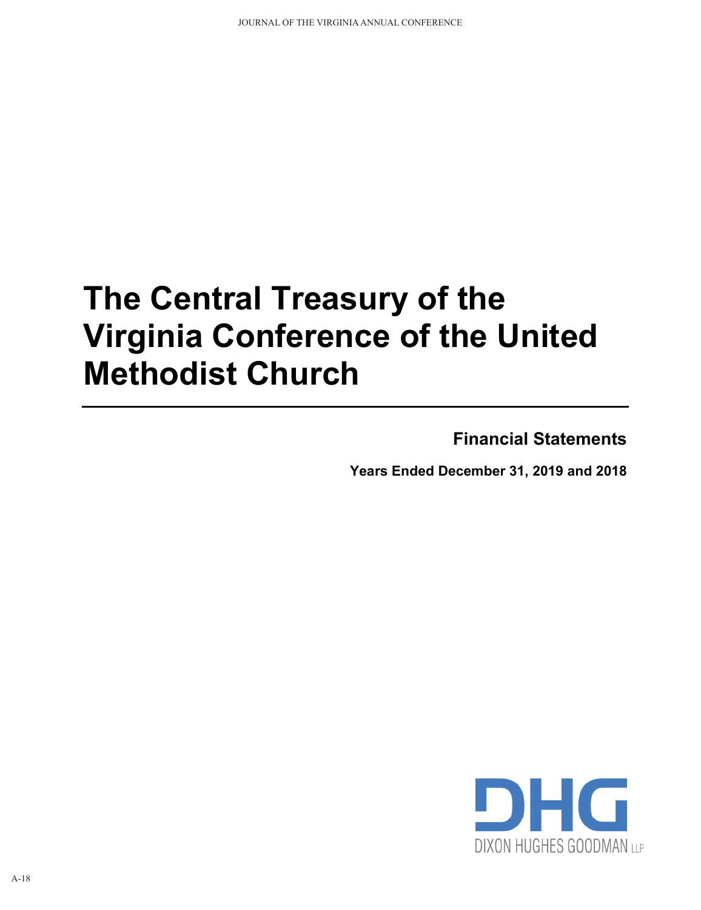# The Central Treasury of the Virginia Conference of the United Methodist Church

Financial Statements

Years Ended December 31, 2019 and 2018

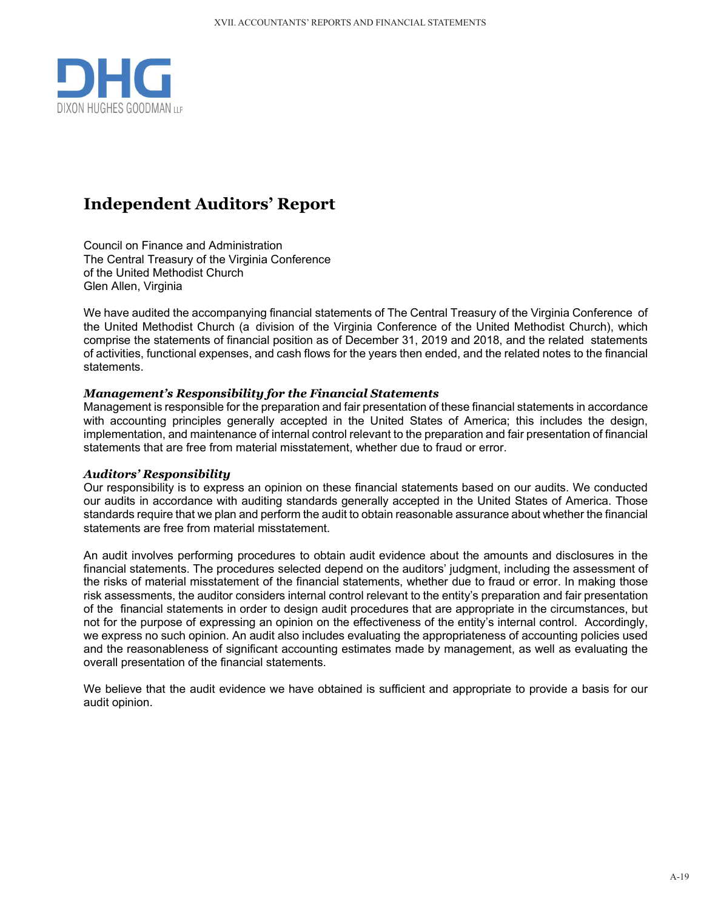

# **Independent Auditors' Report**

Council on Finance and Administration The Central Treasury of the Virginia Conference of the United Methodist Church Glen Allen, Virginia

We have audited the accompanying financial statements of The Central Treasury of the Virginia Conference of the United Methodist Church (a division of the Virginia Conference of the United Methodist Church), which comprise the statements of financial position as of December 31, 2019 and 2018, and the related statements of activities, functional expenses, and cash flows for the years then ended, and the related notes to the financial statements.

## Management's Responsibility for the Financial Statements

Management is responsible for the preparation and fair presentation of these financial statements in accordance with accounting principles generally accepted in the United States of America; this includes the design, implementation, and maintenance of internal control relevant to the preparation and fair presentation of financial statements that are free from material misstatement, whether due to fraud or error.

## Auditors' Responsibility

Our responsibility is to express an opinion on these financial statements based on our audits. We conducted our audits in accordance with auditing standards generally accepted in the United States of America. Those standards require that we plan and perform the audit to obtain reasonable assurance about whether the financial statements are free from material misstatement.

An audit involves performing procedures to obtain audit evidence about the amounts and disclosures in the financial statements. The procedures selected depend on the auditors' judgment, including the assessment of the risks of material misstatement of the financial statements, whether due to fraud or error. In making those risk assessments, the auditor considers internal control relevant to the entity's preparation and fair presentation of the financial statements in order to design audit procedures that are appropriate in the circumstances, but not for the purpose of expressing an opinion on the effectiveness of the entity's internal control. Accordingly, we express no such opinion. An audit also includes evaluating the appropriateness of accounting policies used and the reasonableness of significant accounting estimates made by management, as well as evaluating the overall presentation of the financial statements.

We believe that the audit evidence we have obtained is sufficient and appropriate to provide a basis for our audit opinion.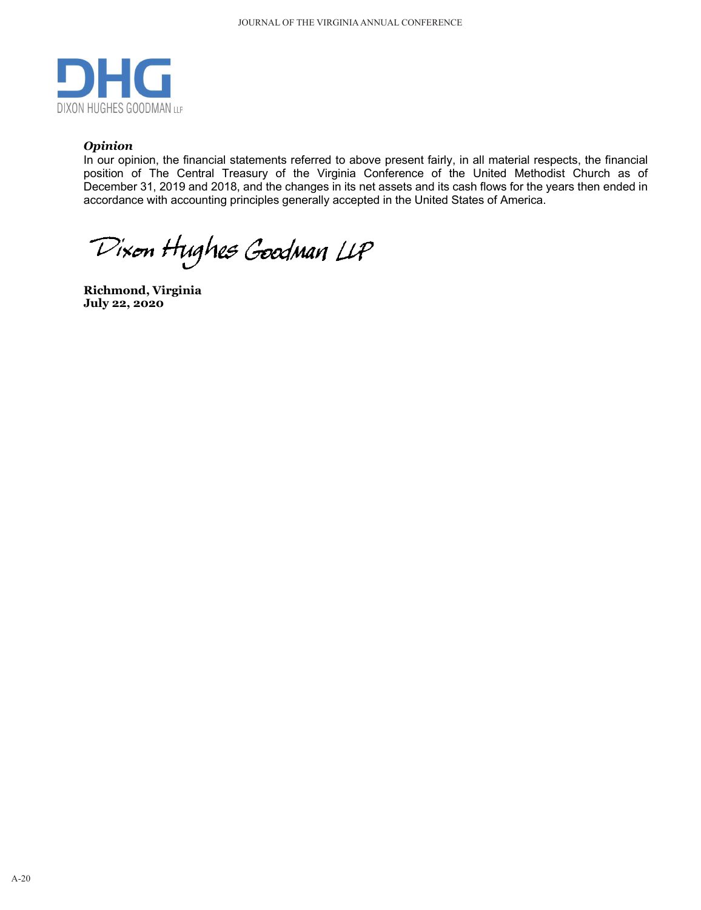

## **Opinion**

In our opinion, the financial statements referred to above present fairly, in all material respects, the financial position of The Central Treasury of the Virginia Conference of the United Methodist Church as of December 31, 2019 and 2018, and the changes in its net assets and its cash flows for the years then ended in accordance with accounting principles generally accepted in the United States of America.

Dixon Hughes Goodman LLP

Richmond, Virginia July 22, 2020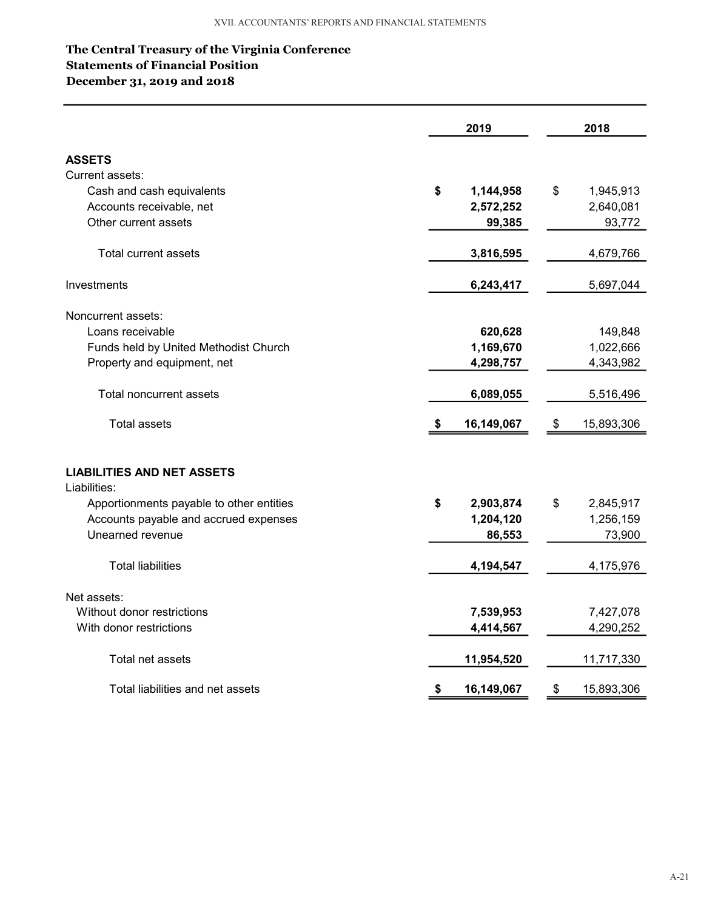## December 31, 2019 and 2018 The Central Treasury of the Virginia Conference Statements of Financial Position

|                                                   | 2019             |    | 2018       |  |
|---------------------------------------------------|------------------|----|------------|--|
| <b>ASSETS</b>                                     |                  |    |            |  |
| Current assets:                                   |                  |    |            |  |
| Cash and cash equivalents                         | \$<br>1,144,958  | \$ | 1,945,913  |  |
| Accounts receivable, net                          | 2,572,252        |    | 2,640,081  |  |
| Other current assets                              | 99,385           |    | 93,772     |  |
|                                                   |                  |    |            |  |
| Total current assets                              | 3,816,595        |    | 4,679,766  |  |
| Investments                                       | 6,243,417        |    | 5,697,044  |  |
| Noncurrent assets:                                |                  |    |            |  |
| Loans receivable                                  | 620,628          |    | 149,848    |  |
| Funds held by United Methodist Church             | 1,169,670        |    | 1,022,666  |  |
| Property and equipment, net                       | 4,298,757        |    | 4,343,982  |  |
| <b>Total noncurrent assets</b>                    | 6,089,055        |    | 5,516,496  |  |
| <b>Total assets</b>                               | \$<br>16,149,067 | \$ | 15,893,306 |  |
| <b>LIABILITIES AND NET ASSETS</b><br>Liabilities: |                  |    |            |  |
| Apportionments payable to other entities          | \$<br>2,903,874  | \$ | 2,845,917  |  |
| Accounts payable and accrued expenses             | 1,204,120        |    | 1,256,159  |  |
| Unearned revenue                                  | 86,553           |    | 73,900     |  |
| <b>Total liabilities</b>                          | 4,194,547        |    | 4,175,976  |  |
| Net assets:                                       |                  |    |            |  |
| Without donor restrictions                        | 7,539,953        |    | 7,427,078  |  |
| With donor restrictions                           | 4,414,567        |    | 4,290,252  |  |
| Total net assets                                  | 11,954,520       |    | 11,717,330 |  |
| Total liabilities and net assets                  | \$<br>16,149,067 | \$ | 15,893,306 |  |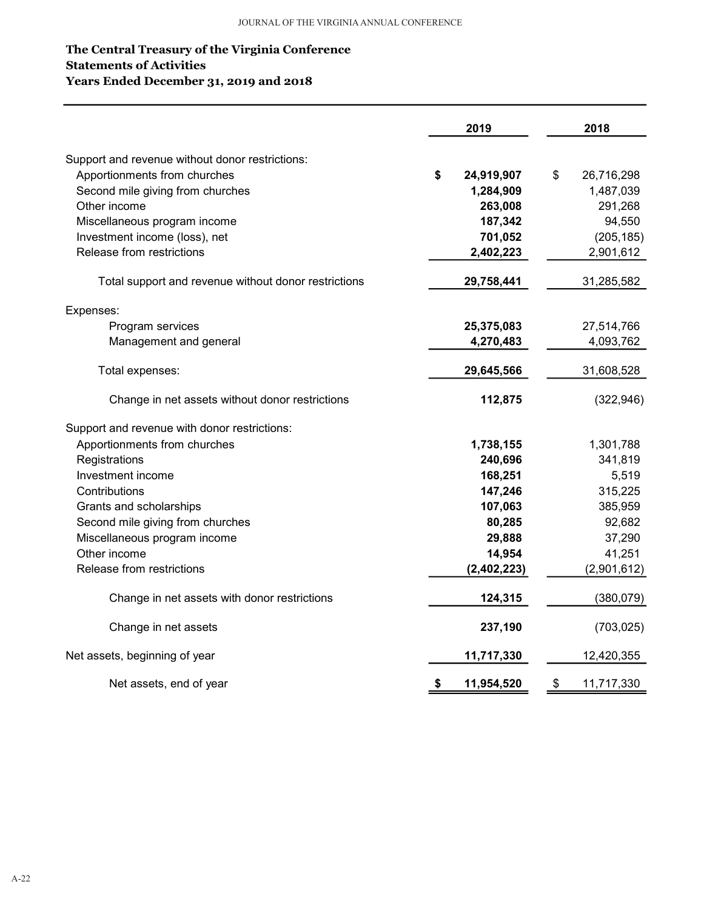## The Central Treasury of the Virginia Conference Statements of Activities Years Ended December 31, 2019 and 2018

|                                                      | 2019             | 2018             |
|------------------------------------------------------|------------------|------------------|
| Support and revenue without donor restrictions:      |                  |                  |
| Apportionments from churches                         | \$<br>24,919,907 | \$<br>26,716,298 |
| Second mile giving from churches                     | 1,284,909        | 1,487,039        |
| Other income                                         | 263,008          | 291,268          |
| Miscellaneous program income                         | 187,342          | 94,550           |
| Investment income (loss), net                        | 701,052          | (205, 185)       |
| Release from restrictions                            | 2,402,223        | 2,901,612        |
| Total support and revenue without donor restrictions | 29,758,441       | 31,285,582       |
| Expenses:                                            |                  |                  |
| Program services                                     | 25,375,083       | 27,514,766       |
| Management and general                               | 4,270,483        | 4,093,762        |
| Total expenses:                                      | 29,645,566       | 31,608,528       |
| Change in net assets without donor restrictions      | 112,875          | (322, 946)       |
| Support and revenue with donor restrictions:         |                  |                  |
| Apportionments from churches                         | 1,738,155        | 1,301,788        |
| Registrations                                        | 240,696          | 341,819          |
| Investment income                                    | 168,251          | 5,519            |
| Contributions                                        | 147,246          | 315,225          |
| Grants and scholarships                              | 107,063          | 385,959          |
| Second mile giving from churches                     | 80,285           | 92,682           |
| Miscellaneous program income                         | 29,888           | 37,290           |
| Other income                                         | 14,954           | 41,251           |
| Release from restrictions                            | (2,402,223)      | (2,901,612)      |
| Change in net assets with donor restrictions         | 124,315          | (380, 079)       |
| Change in net assets                                 | 237,190          | (703, 025)       |
| Net assets, beginning of year                        | 11,717,330       | 12,420,355       |
| Net assets, end of year                              | \$<br>11,954,520 | \$<br>11,717,330 |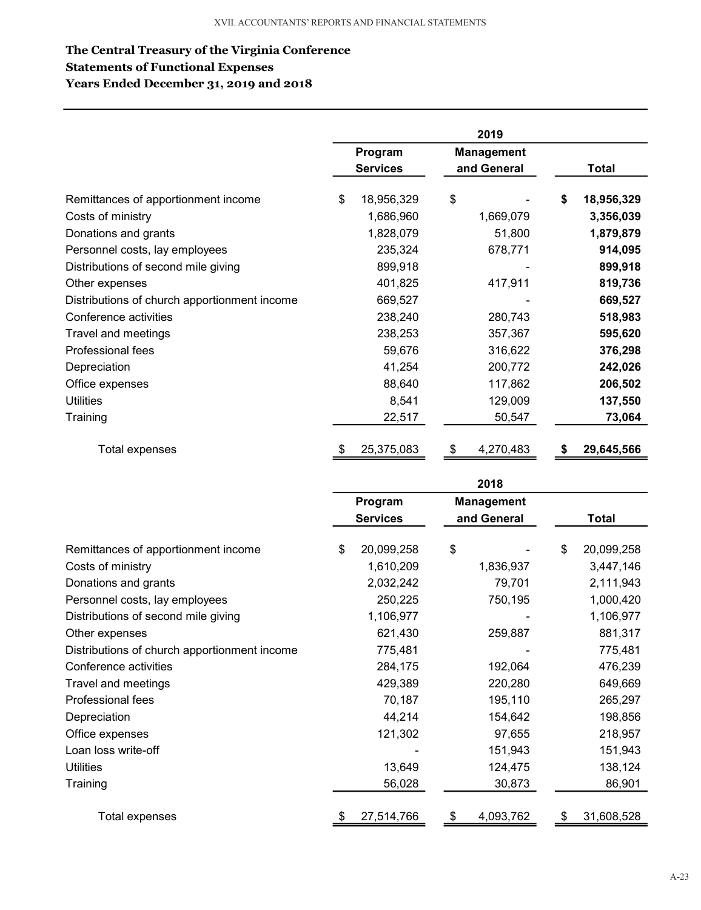## The Central Treasury of the Virginia Conference Years Ended December 31, 2019 and 2018 Statements of Functional Expenses

|                                              |                            | 2019                             |                  |
|----------------------------------------------|----------------------------|----------------------------------|------------------|
|                                              | Program<br><b>Services</b> | <b>Management</b><br>and General | Total            |
| Remittances of apportionment income          | \$<br>18,956,329           | \$                               | \$<br>18,956,329 |
| Costs of ministry                            | 1,686,960                  | 1,669,079                        | 3,356,039        |
| Donations and grants                         | 1,828,079                  | 51,800                           | 1,879,879        |
| Personnel costs, lay employees               | 235,324                    | 678,771                          | 914,095          |
| Distributions of second mile giving          | 899,918                    |                                  | 899,918          |
| Other expenses                               | 401,825                    | 417,911                          | 819,736          |
| Distributions of church apportionment income | 669,527                    |                                  | 669,527          |
| Conference activities                        | 238,240                    | 280,743                          | 518,983          |
| Travel and meetings                          | 238,253                    | 357,367                          | 595,620          |
| Professional fees                            | 59,676                     | 316,622                          | 376,298          |
| Depreciation                                 | 41,254                     | 200,772                          | 242,026          |
| Office expenses                              | 88,640                     | 117,862                          | 206,502          |
| <b>Utilities</b>                             | 8,541                      | 129,009                          | 137,550          |
| Training                                     | 22,517                     | 50,547                           | 73,064           |
| Total expenses                               | 25,375,083                 | 4,270,483                        | 29,645,566       |

|                                              | 2018 |                                |    |                   |              |            |
|----------------------------------------------|------|--------------------------------|----|-------------------|--------------|------------|
|                                              |      | Program                        |    | <b>Management</b> |              |            |
|                                              |      | and General<br><b>Services</b> |    |                   | <b>Total</b> |            |
| Remittances of apportionment income          | \$   | 20,099,258                     | \$ |                   | \$           | 20,099,258 |
| Costs of ministry                            |      | 1,610,209                      |    | 1,836,937         |              | 3,447,146  |
| Donations and grants                         |      | 2,032,242                      |    | 79,701            |              | 2,111,943  |
| Personnel costs, lay employees               |      | 250,225                        |    | 750,195           |              | 1,000,420  |
| Distributions of second mile giving          |      | 1,106,977                      |    |                   |              | 1,106,977  |
| Other expenses                               |      | 621,430                        |    | 259,887           |              | 881,317    |
| Distributions of church apportionment income |      | 775,481                        |    |                   |              | 775,481    |
| Conference activities                        |      | 284,175                        |    | 192,064           |              | 476,239    |
| Travel and meetings                          |      | 429,389                        |    | 220,280           |              | 649,669    |
| Professional fees                            |      | 70,187                         |    | 195,110           |              | 265,297    |
| Depreciation                                 |      | 44,214                         |    | 154,642           |              | 198,856    |
| Office expenses                              |      | 121,302                        |    | 97,655            |              | 218,957    |
| Loan loss write-off                          |      |                                |    | 151,943           |              | 151,943    |
| <b>Utilities</b>                             |      | 13,649                         |    | 124,475           |              | 138,124    |
| Training                                     |      | 56,028                         |    | 30,873            |              | 86,901     |
| Total expenses                               | \$   | 27,514,766                     | \$ | 4,093,762         | \$           | 31,608,528 |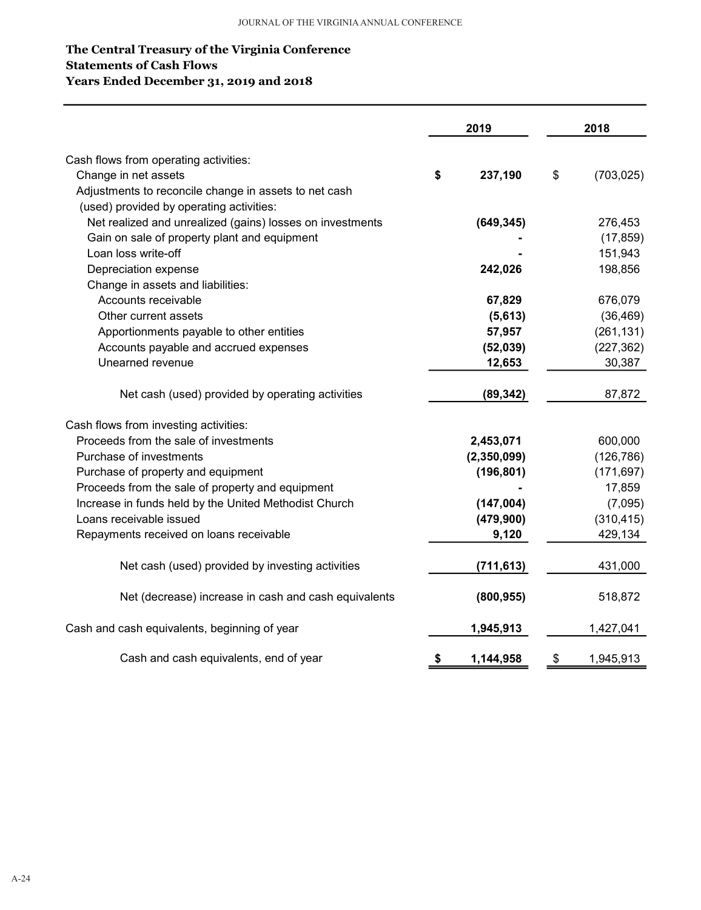## The Central Treasury of the Virginia Conference Statements of Cash Flows Years Ended December 31, 2019 and 2018

|                                                           | 2019 |             | 2018             |  |
|-----------------------------------------------------------|------|-------------|------------------|--|
| Cash flows from operating activities:                     |      |             |                  |  |
| Change in net assets                                      | \$   | 237,190     | \$<br>(703, 025) |  |
| Adjustments to reconcile change in assets to net cash     |      |             |                  |  |
| (used) provided by operating activities:                  |      |             |                  |  |
| Net realized and unrealized (gains) losses on investments |      | (649, 345)  | 276,453          |  |
| Gain on sale of property plant and equipment              |      |             | (17, 859)        |  |
| Loan loss write-off                                       |      |             | 151,943          |  |
| Depreciation expense                                      |      | 242,026     | 198,856          |  |
| Change in assets and liabilities:                         |      |             |                  |  |
| Accounts receivable                                       |      | 67,829      | 676,079          |  |
| Other current assets                                      |      | (5,613)     | (36, 469)        |  |
| Apportionments payable to other entities                  |      | 57,957      | (261, 131)       |  |
| Accounts payable and accrued expenses                     |      | (52, 039)   | (227, 362)       |  |
| Unearned revenue                                          |      | 12,653      | 30,387           |  |
| Net cash (used) provided by operating activities          |      | (89, 342)   | 87,872           |  |
| Cash flows from investing activities:                     |      |             |                  |  |
| Proceeds from the sale of investments                     |      | 2,453,071   | 600,000          |  |
| Purchase of investments                                   |      | (2,350,099) | (126, 786)       |  |
| Purchase of property and equipment                        |      | (196, 801)  | (171, 697)       |  |
| Proceeds from the sale of property and equipment          |      |             | 17,859           |  |
| Increase in funds held by the United Methodist Church     |      | (147, 004)  | (7,095)          |  |
| Loans receivable issued                                   |      | (479,900)   | (310, 415)       |  |
| Repayments received on loans receivable                   |      | 9,120       | 429,134          |  |
| Net cash (used) provided by investing activities          |      | (711, 613)  | 431,000          |  |
| Net (decrease) increase in cash and cash equivalents      |      | (800, 955)  | 518,872          |  |
| Cash and cash equivalents, beginning of year              |      | 1,945,913   | 1,427,041        |  |
| Cash and cash equivalents, end of year                    | \$   | 1,144,958   | \$<br>1,945,913  |  |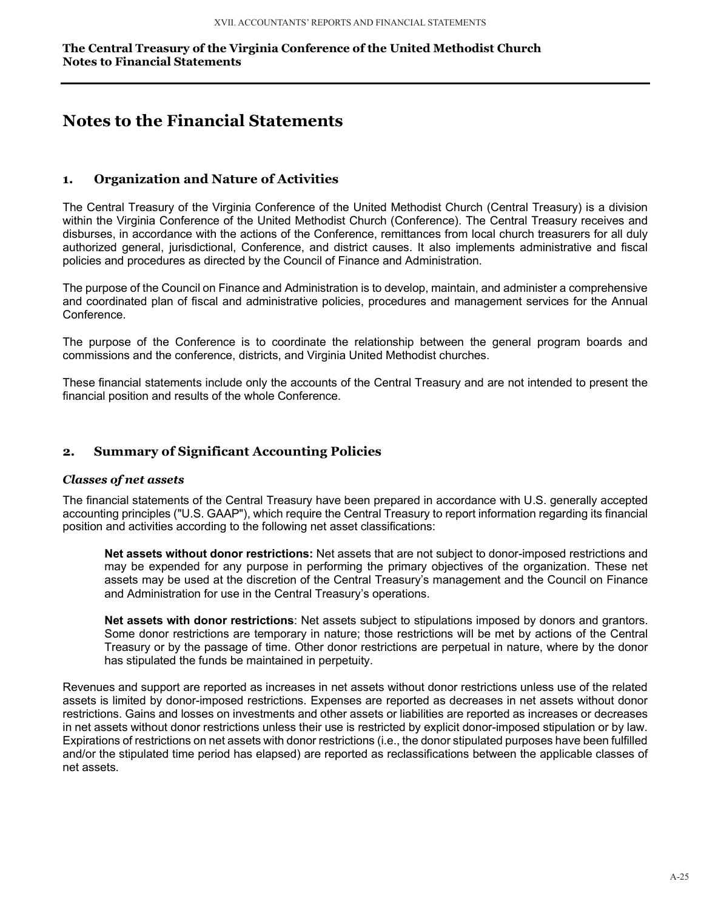# Notes to the Financial Statements

## 1. Organization and Nature of Activities

The Central Treasury of the Virginia Conference of the United Methodist Church (Central Treasury) is a division within the Virginia Conference of the United Methodist Church (Conference). The Central Treasury receives and disburses, in accordance with the actions of the Conference, remittances from local church treasurers for all duly authorized general, jurisdictional, Conference, and district causes. It also implements administrative and fiscal policies and procedures as directed by the Council of Finance and Administration.

The purpose of the Council on Finance and Administration is to develop, maintain, and administer a comprehensive and coordinated plan of fiscal and administrative policies, procedures and management services for the Annual Conference.

The purpose of the Conference is to coordinate the relationship between the general program boards and commissions and the conference, districts, and Virginia United Methodist churches.

These financial statements include only the accounts of the Central Treasury and are not intended to present the financial position and results of the whole Conference.

## 2. Summary of Significant Accounting Policies

## Classes of net assets

The financial statements of the Central Treasury have been prepared in accordance with U.S. generally accepted accounting principles ("U.S. GAAP"), which require the Central Treasury to report information regarding its financial position and activities according to the following net asset classifications:

Net assets without donor restrictions: Net assets that are not subject to donor-imposed restrictions and may be expended for any purpose in performing the primary objectives of the organization. These net assets may be used at the discretion of the Central Treasury's management and the Council on Finance and Administration for use in the Central Treasury's operations.

Net assets with donor restrictions: Net assets subject to stipulations imposed by donors and grantors. Some donor restrictions are temporary in nature; those restrictions will be met by actions of the Central Treasury or by the passage of time. Other donor restrictions are perpetual in nature, where by the donor has stipulated the funds be maintained in perpetuity.

Revenues and support are reported as increases in net assets without donor restrictions unless use of the related assets is limited by donor-imposed restrictions. Expenses are reported as decreases in net assets without donor restrictions. Gains and losses on investments and other assets or liabilities are reported as increases or decreases in net assets without donor restrictions unless their use is restricted by explicit donor-imposed stipulation or by law. Expirations of restrictions on net assets with donor restrictions (i.e., the donor stipulated purposes have been fulfilled and/or the stipulated time period has elapsed) are reported as reclassifications between the applicable classes of net assets.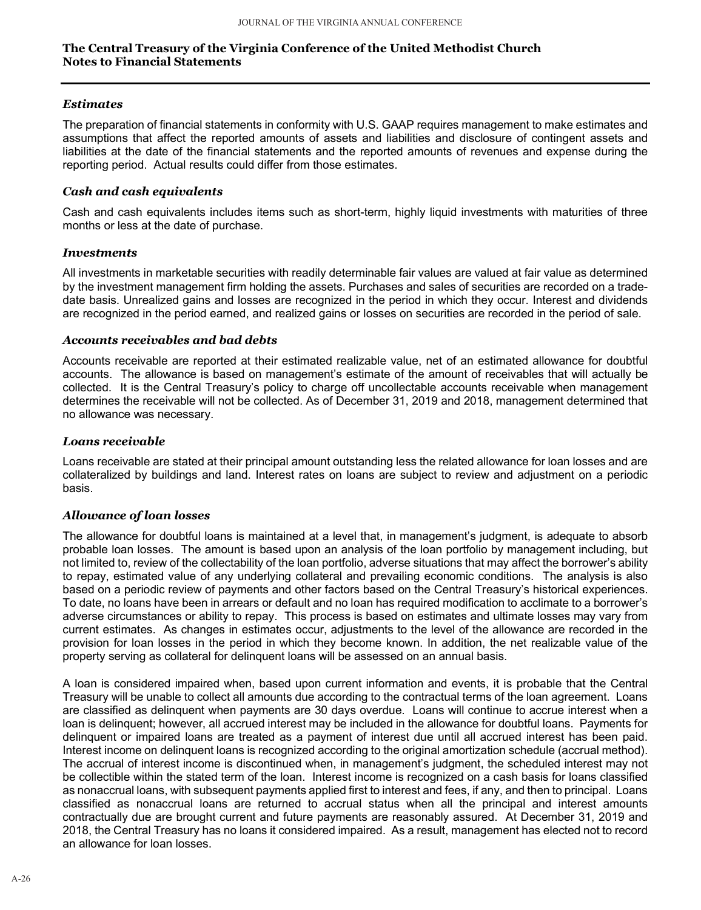#### **Estimates**

The preparation of financial statements in conformity with U.S. GAAP requires management to make estimates and assumptions that affect the reported amounts of assets and liabilities and disclosure of contingent assets and liabilities at the date of the financial statements and the reported amounts of revenues and expense during the reporting period. Actual results could differ from those estimates.

## Cash and cash equivalents

Cash and cash equivalents includes items such as short-term, highly liquid investments with maturities of three months or less at the date of purchase.

#### **Investments**

All investments in marketable securities with readily determinable fair values are valued at fair value as determined by the investment management firm holding the assets. Purchases and sales of securities are recorded on a tradedate basis. Unrealized gains and losses are recognized in the period in which they occur. Interest and dividends are recognized in the period earned, and realized gains or losses on securities are recorded in the period of sale.

#### Accounts receivables and bad debts

Accounts receivable are reported at their estimated realizable value, net of an estimated allowance for doubtful accounts. The allowance is based on management's estimate of the amount of receivables that will actually be collected. It is the Central Treasury's policy to charge off uncollectable accounts receivable when management determines the receivable will not be collected. As of December 31, 2019 and 2018, management determined that no allowance was necessary.

#### Loans receivable

Loans receivable are stated at their principal amount outstanding less the related allowance for loan losses and are collateralized by buildings and land. Interest rates on loans are subject to review and adjustment on a periodic basis.

## Allowance of loan losses

The allowance for doubtful loans is maintained at a level that, in management's judgment, is adequate to absorb probable loan losses. The amount is based upon an analysis of the loan portfolio by management including, but not limited to, review of the collectability of the loan portfolio, adverse situations that may affect the borrower's ability to repay, estimated value of any underlying collateral and prevailing economic conditions. The analysis is also based on a periodic review of payments and other factors based on the Central Treasury's historical experiences. To date, no loans have been in arrears or default and no loan has required modification to acclimate to a borrower's adverse circumstances or ability to repay. This process is based on estimates and ultimate losses may vary from current estimates. As changes in estimates occur, adjustments to the level of the allowance are recorded in the provision for loan losses in the period in which they become known. In addition, the net realizable value of the property serving as collateral for delinquent loans will be assessed on an annual basis.

A loan is considered impaired when, based upon current information and events, it is probable that the Central Treasury will be unable to collect all amounts due according to the contractual terms of the loan agreement. Loans are classified as delinquent when payments are 30 days overdue. Loans will continue to accrue interest when a loan is delinquent; however, all accrued interest may be included in the allowance for doubtful loans. Payments for delinquent or impaired loans are treated as a payment of interest due until all accrued interest has been paid. Interest income on delinquent loans is recognized according to the original amortization schedule (accrual method). The accrual of interest income is discontinued when, in management's judgment, the scheduled interest may not be collectible within the stated term of the loan. Interest income is recognized on a cash basis for loans classified as nonaccrual loans, with subsequent payments applied first to interest and fees, if any, and then to principal. Loans classified as nonaccrual loans are returned to accrual status when all the principal and interest amounts contractually due are brought current and future payments are reasonably assured. At December 31, 2019 and 2018, the Central Treasury has no loans it considered impaired. As a result, management has elected not to record an allowance for loan losses.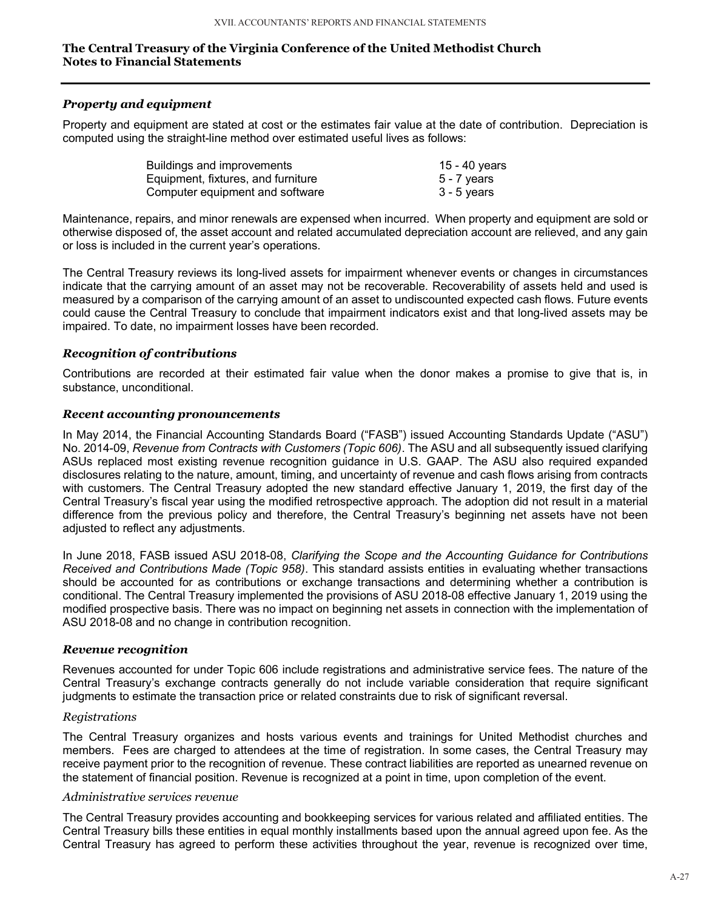## Property and equipment

Property and equipment are stated at cost or the estimates fair value at the date of contribution. Depreciation is computed using the straight-line method over estimated useful lives as follows:

| Buildings and improvements         | 15 - 40 years |
|------------------------------------|---------------|
| Equipment, fixtures, and furniture | 5 - 7 years   |
| Computer equipment and software    | 3 - 5 vears   |

Maintenance, repairs, and minor renewals are expensed when incurred. When property and equipment are sold or otherwise disposed of, the asset account and related accumulated depreciation account are relieved, and any gain or loss is included in the current year's operations.

The Central Treasury reviews its long-lived assets for impairment whenever events or changes in circumstances indicate that the carrying amount of an asset may not be recoverable. Recoverability of assets held and used is measured by a comparison of the carrying amount of an asset to undiscounted expected cash flows. Future events could cause the Central Treasury to conclude that impairment indicators exist and that long-lived assets may be impaired. To date, no impairment losses have been recorded.

## Recognition of contributions

Contributions are recorded at their estimated fair value when the donor makes a promise to give that is, in substance, unconditional.

## Recent accounting pronouncements

In May 2014, the Financial Accounting Standards Board ("FASB") issued Accounting Standards Update ("ASU") No. 2014-09, Revenue from Contracts with Customers (Topic 606). The ASU and all subsequently issued clarifying ASUs replaced most existing revenue recognition guidance in U.S. GAAP. The ASU also required expanded disclosures relating to the nature, amount, timing, and uncertainty of revenue and cash flows arising from contracts with customers. The Central Treasury adopted the new standard effective January 1, 2019, the first day of the Central Treasury's fiscal year using the modified retrospective approach. The adoption did not result in a material difference from the previous policy and therefore, the Central Treasury's beginning net assets have not been adjusted to reflect any adjustments.

In June 2018, FASB issued ASU 2018-08, Clarifying the Scope and the Accounting Guidance for Contributions Received and Contributions Made (Topic 958). This standard assists entities in evaluating whether transactions should be accounted for as contributions or exchange transactions and determining whether a contribution is conditional. The Central Treasury implemented the provisions of ASU 2018-08 effective January 1, 2019 using the modified prospective basis. There was no impact on beginning net assets in connection with the implementation of ASU 2018-08 and no change in contribution recognition.

## Revenue recognition

Revenues accounted for under Topic 606 include registrations and administrative service fees. The nature of the Central Treasury's exchange contracts generally do not include variable consideration that require significant judgments to estimate the transaction price or related constraints due to risk of significant reversal.

## Registrations

The Central Treasury organizes and hosts various events and trainings for United Methodist churches and members. Fees are charged to attendees at the time of registration. In some cases, the Central Treasury may receive payment prior to the recognition of revenue. These contract liabilities are reported as unearned revenue on the statement of financial position. Revenue is recognized at a point in time, upon completion of the event.

## Administrative services revenue

The Central Treasury provides accounting and bookkeeping services for various related and affiliated entities. The Central Treasury bills these entities in equal monthly installments based upon the annual agreed upon fee. As the Central Treasury has agreed to perform these activities throughout the year, revenue is recognized over time,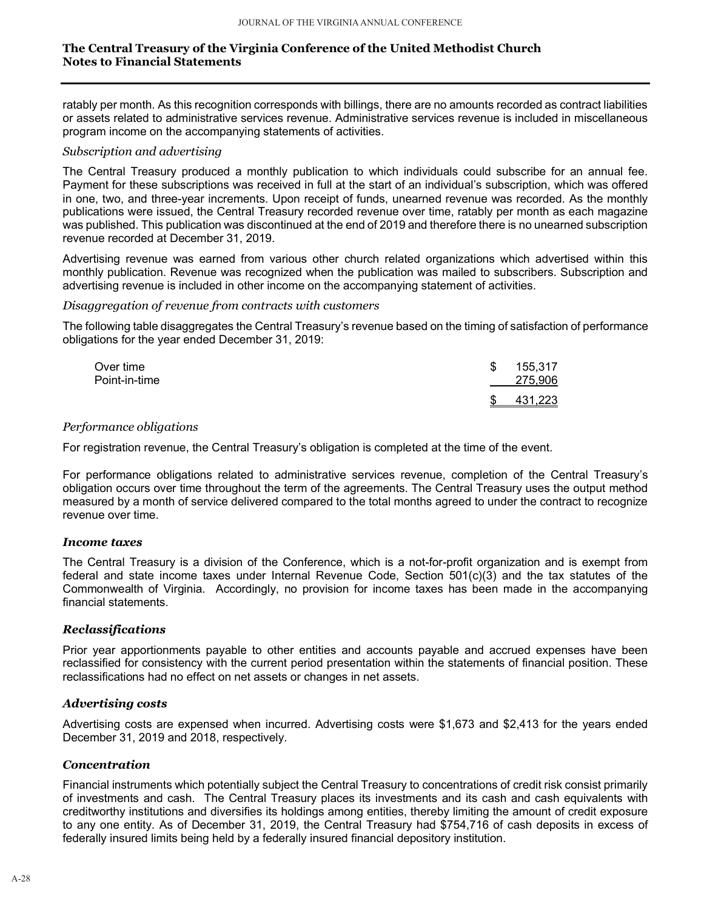ratably per month. As this recognition corresponds with billings, there are no amounts recorded as contract liabilities or assets related to administrative services revenue. Administrative services revenue is included in miscellaneous program income on the accompanying statements of activities.

## Subscription and advertising

The Central Treasury produced a monthly publication to which individuals could subscribe for an annual fee. Payment for these subscriptions was received in full at the start of an individual's subscription, which was offered in one, two, and three-year increments. Upon receipt of funds, unearned revenue was recorded. As the monthly publications were issued, the Central Treasury recorded revenue over time, ratably per month as each magazine was published. This publication was discontinued at the end of 2019 and therefore there is no unearned subscription revenue recorded at December 31, 2019.

Advertising revenue was earned from various other church related organizations which advertised within this monthly publication. Revenue was recognized when the publication was mailed to subscribers. Subscription and advertising revenue is included in other income on the accompanying statement of activities.

## Disaggregation of revenue from contracts with customers

The following table disaggregates the Central Treasury's revenue based on the timing of satisfaction of performance obligations for the year ended December 31, 2019:

| Over time<br>Point-in-time | S. | 155,317<br>275,906 |
|----------------------------|----|--------------------|
|                            | -S | 431,223            |

## Performance obligations

For registration revenue, the Central Treasury's obligation is completed at the time of the event.

For performance obligations related to administrative services revenue, completion of the Central Treasurys obligation occurs over time throughout the term of the agreements. The Central Treasury uses the output method measured by a month of service delivered compared to the total months agreed to under the contract to recognize revenue over time.

## Income taxes

The Central Treasury is a division of the Conference, which is a not-for-profit organization and is exempt from federal and state income taxes under Internal Revenue Code, Section 501(c)(3) and the tax statutes of the Commonwealth of Virginia. Accordingly, no provision for income taxes has been made in the accompanying financial statements.

## Reclassifications

Prior year apportionments payable to other entities and accounts payable and accrued expenses have been reclassified for consistency with the current period presentation within the statements of financial position. These reclassifications had no effect on net assets or changes in net assets.

## Advertising costs

Advertising costs are expensed when incurred. Advertising costs were \$1,673 and \$2,413 for the years ended December 31, 2019 and 2018, respectively.

## Concentration

Financial instruments which potentially subject the Central Treasury to concentrations of credit risk consist primarily of investments and cash. The Central Treasury places its investments and its cash and cash equivalents with creditworthy institutions and diversifies its holdings among entities, thereby limiting the amount of credit exposure to any one entity. As of December 31, 2019, the Central Treasury had \$754,716 of cash deposits in excess of federally insured limits being held by a federally insured financial depository institution.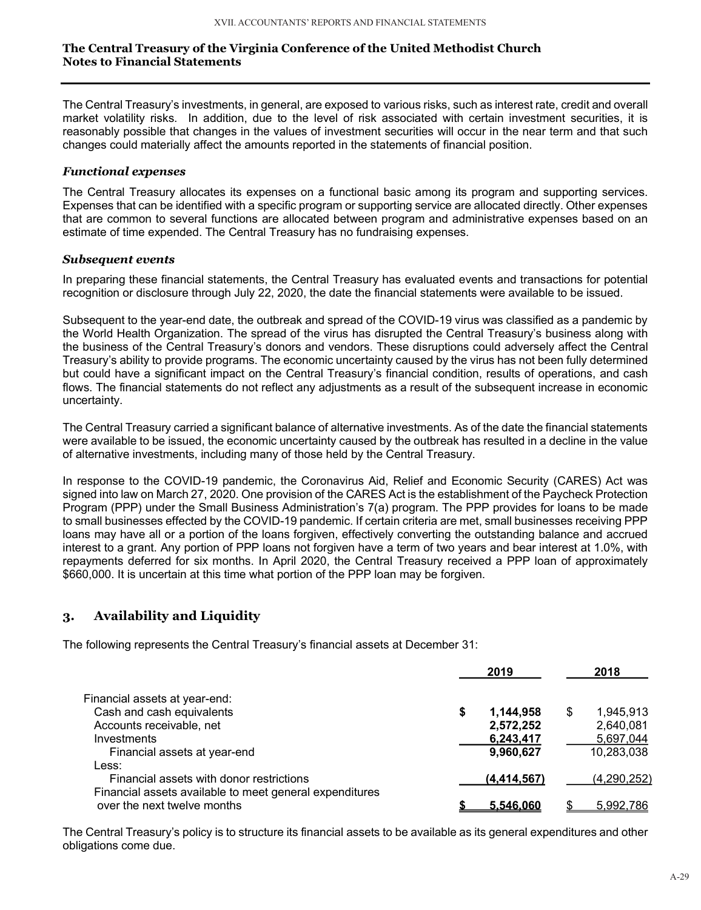The Central Treasury's investments, in general, are exposed to various risks, such as interest rate, credit and overall market volatility risks. In addition, due to the level of risk associated with certain investment securities, it is reasonably possible that changes in the values of investment securities will occur in the near term and that such changes could materially affect the amounts reported in the statements of financial position.

## Functional expenses

The Central Treasury allocates its expenses on a functional basic among its program and supporting services. Expenses that can be identified with a specific program or supporting service are allocated directly. Other expenses that are common to several functions are allocated between program and administrative expenses based on an estimate of time expended. The Central Treasury has no fundraising expenses.

## Subsequent events

In preparing these financial statements, the Central Treasury has evaluated events and transactions for potential recognition or disclosure through July 22, 2020, the date the financial statements were available to be issued.

Subsequent to the year-end date, the outbreak and spread of the COVID-19 virus was classified as a pandemic by the World Health Organization. The spread of the virus has disrupted the Central Treasury's business along with the business of the Central Treasury's donors and vendors. These disruptions could adversely affect the Central Treasury's ability to provide programs. The economic uncertainty caused by the virus has not been fully determined but could have a significant impact on the Central Treasury's financial condition, results of operations, and cash flows. The financial statements do not reflect any adjustments as a result of the subsequent increase in economic uncertainty.

The Central Treasury carried a significant balance of alternative investments. As of the date the financial statements were available to be issued, the economic uncertainty caused by the outbreak has resulted in a decline in the value of alternative investments, including many of those held by the Central Treasury.

In response to the COVID-19 pandemic, the Coronavirus Aid, Relief and Economic Security (CARES) Act was signed into law on March 27, 2020. One provision of the CARES Act is the establishment of the Paycheck Protection Program (PPP) under the Small Business Administration's 7(a) program. The PPP provides for loans to be made to small businesses effected by the COVID-19 pandemic. If certain criteria are met, small businesses receiving PPP loans may have all or a portion of the loans forgiven, effectively converting the outstanding balance and accrued interest to a grant. Any portion of PPP loans not forgiven have a term of two years and bear interest at 1.0%, with repayments deferred for six months. In April 2020, the Central Treasury received a PPP loan of approximately \$660,000. It is uncertain at this time what portion of the PPP loan may be forgiven.

## 3. Availability and Liquidity

The following represents the Central Treasury's financial assets at December 31:

|                                                         |   | 2019        |   | 2018        |
|---------------------------------------------------------|---|-------------|---|-------------|
| Financial assets at year-end:                           |   |             |   |             |
| Cash and cash equivalents                               | S | 1,144,958   | S | 1,945,913   |
| Accounts receivable, net                                |   | 2,572,252   |   | 2,640,081   |
| Investments                                             |   | 6,243,417   |   | 5,697,044   |
| Financial assets at year-end                            |   | 9,960,627   |   | 10,283,038  |
| Less:                                                   |   |             |   |             |
| Financial assets with donor restrictions                |   | (4.414.567) |   | (4,290,252) |
| Financial assets available to meet general expenditures |   |             |   |             |
| over the next twelve months                             |   | 5.546.060   |   | 5,992,786   |

The Central Treasury's policy is to structure its financial assets to be available as its general expenditures and other obligations come due.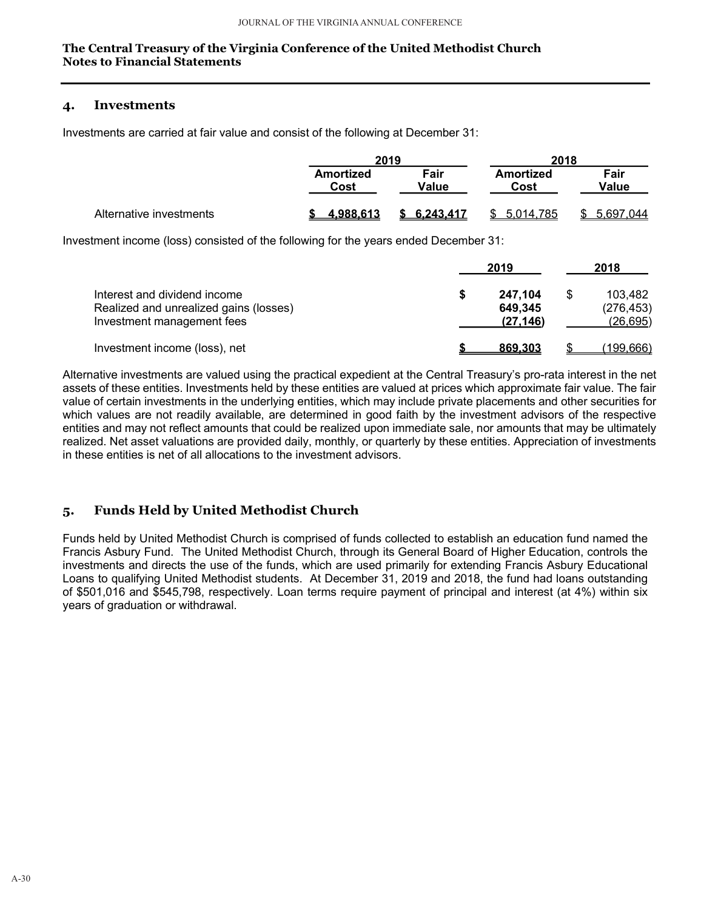## 4. Investments

Investments are carried at fair value and consist of the following at December 31:

|                         |                   | 2019          |                   | 2018                |  |
|-------------------------|-------------------|---------------|-------------------|---------------------|--|
|                         | Amortized<br>Cost | Fair<br>Value | Amortized<br>Cost | Fair<br>Value       |  |
| Alternative investments | 4.988.613         | 6.243.417     | 5.014.785         | 044<br>\$.<br>5.697 |  |

Investment income (loss) consisted of the following for the years ended December 31:

| Interest and dividend income<br>Realized and unrealized gains (losses)<br>Investment management fees | 2019                            |   | 2018                               |  |
|------------------------------------------------------------------------------------------------------|---------------------------------|---|------------------------------------|--|
|                                                                                                      | 247.104<br>649,345<br>(27, 146) | S | 103,482<br>(276, 453)<br>(26, 695) |  |
| Investment income (loss), net                                                                        | 869.303                         |   | 199,666)                           |  |

Alternative investments are valued using the practical expedient at the Central Treasury's pro-rata interest in the net assets of these entities. Investments held by these entities are valued at prices which approximate fair value. The fair value of certain investments in the underlying entities, which may include private placements and other securities for which values are not readily available, are determined in good faith by the investment advisors of the respective entities and may not reflect amounts that could be realized upon immediate sale, nor amounts that may be ultimately realized. Net asset valuations are provided daily, monthly, or quarterly by these entities. Appreciation of investments in these entities is net of all allocations to the investment advisors.

## 5. Funds Held by United Methodist Church

Funds held by United Methodist Church is comprised of funds collected to establish an education fund named the Francis Asbury Fund. The United Methodist Church, through its General Board of Higher Education, controls the investments and directs the use of the funds, which are used primarily for extending Francis Asbury Educational Loans to qualifying United Methodist students. At December 31, 2019 and 2018, the fund had loans outstanding of \$501,016 and \$545,798, respectively. Loan terms require payment of principal and interest (at 4%) within six years of graduation or withdrawal.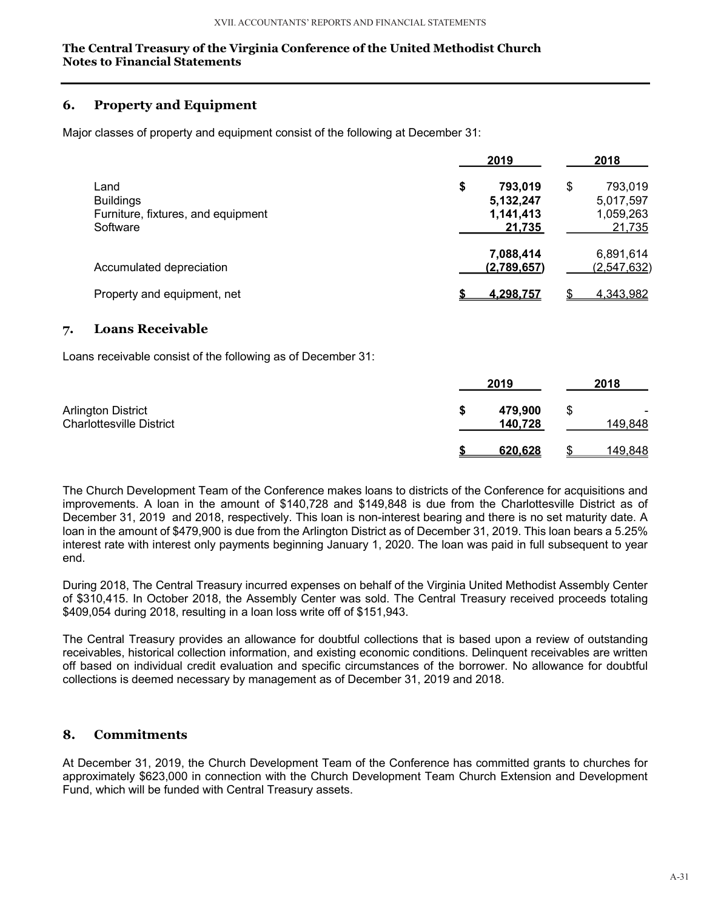## 6. Property and Equipment

Major classes of property and equipment consist of the following at December 31:

|                                                                            | 2019                                              | 2018 |                                             |
|----------------------------------------------------------------------------|---------------------------------------------------|------|---------------------------------------------|
| Land<br><b>Buildings</b><br>Furniture, fixtures, and equipment<br>Software | \$<br>793,019<br>5,132,247<br>1,141,413<br>21,735 | \$   | 793,019<br>5,017,597<br>1,059,263<br>21,735 |
| Accumulated depreciation                                                   | 7,088,414<br>(2,789,657)                          |      | 6,891,614<br>(2,547,632)                    |
| Property and equipment, net                                                | <u>4.298.757</u>                                  |      | 4,343,982                                   |

## 7. Loans Receivable

Loans receivable consist of the following as of December 31:

|                                                       |   | 2019               | 2018                    |
|-------------------------------------------------------|---|--------------------|-------------------------|
| Arlington District<br><b>Charlottesville District</b> | S | 479,900<br>140,728 | \$<br>$\sim$<br>149,848 |
|                                                       |   | 620,628            | 149,848                 |

The Church Development Team of the Conference makes loans to districts of the Conference for acquisitions and improvements. A loan in the amount of \$140,728 and \$149,848 is due from the Charlottesville District as of December 31, 2019 and 2018, respectively. This loan is non-interest bearing and there is no set maturity date. A loan in the amount of \$479,900 is due from the Arlington District as of December 31, 2019. This loan bears a 5.25% interest rate with interest only payments beginning January 1, 2020. The loan was paid in full subsequent to year end.

During 2018, The Central Treasury incurred expenses on behalf of the Virginia United Methodist Assembly Center of \$310,415. In October 2018, the Assembly Center was sold. The Central Treasury received proceeds totaling \$409,054 during 2018, resulting in a loan loss write off of \$151,943.

The Central Treasury provides an allowance for doubtful collections that is based upon a review of outstanding receivables, historical collection information, and existing economic conditions. Delinquent receivables are written off based on individual credit evaluation and specific circumstances of the borrower. No allowance for doubtful collections is deemed necessary by management as of December 31, 2019 and 2018.

## 8. Commitments

At December 31, 2019, the Church Development Team of the Conference has committed grants to churches for approximately \$623,000 in connection with the Church Development Team Church Extension and Development Fund, which will be funded with Central Treasury assets.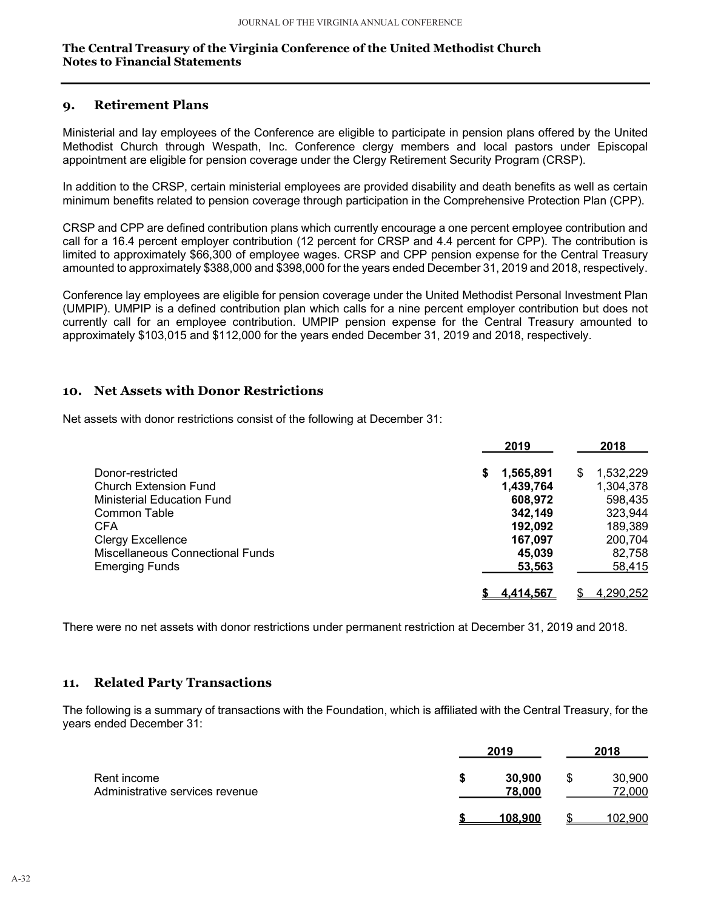## 9. Retirement Plans

Ministerial and lay employees of the Conference are eligible to participate in pension plans offered by the United Methodist Church through Wespath, Inc. Conference clergy members and local pastors under Episcopal appointment are eligible for pension coverage under the Clergy Retirement Security Program (CRSP).

In addition to the CRSP, certain ministerial employees are provided disability and death benefits as well as certain minimum benefits related to pension coverage through participation in the Comprehensive Protection Plan (CPP).

CRSP and CPP are defined contribution plans which currently encourage a one percent employee contribution and call for a 16.4 percent employer contribution (12 percent for CRSP and 4.4 percent for CPP). The contribution is limited to approximately \$66,300 of employee wages. CRSP and CPP pension expense for the Central Treasury amounted to approximately \$388,000 and \$398,000 for the years ended December 31, 2019 and 2018, respectively.

Conference lay employees are eligible for pension coverage under the United Methodist Personal Investment Plan (UMPIP). UMPIP is a defined contribution plan which calls for a nine percent employer contribution but does not currently call for an employee contribution. UMPIP pension expense for the Central Treasury amounted to approximately \$103,015 and \$112,000 for the years ended December 31, 2019 and 2018, respectively.

## 10. Net Assets with Donor Restrictions

Net assets with donor restrictions consist of the following at December 31:

|                                   | 2019           | 2018           |
|-----------------------------------|----------------|----------------|
| Donor-restricted                  | 1,565,891<br>S | 1,532,229<br>S |
| <b>Church Extension Fund</b>      | 1,439,764      | 1,304,378      |
| <b>Ministerial Education Fund</b> | 608,972        | 598,435        |
| Common Table                      | 342.149        | 323,944        |
| <b>CFA</b>                        | 192,092        | 189,389        |
| <b>Clergy Excellence</b>          | 167,097        | 200,704        |
| Miscellaneous Connectional Funds  | 45,039         | 82,758         |
| <b>Emerging Funds</b>             | 53,563         | 58,415         |
|                                   | 4.414.567      | 4,290,252      |

There were no net assets with donor restrictions under permanent restriction at December 31, 2019 and 2018.

## 11. Related Party Transactions

The following is a summary of transactions with the Foundation, which is affiliated with the Central Treasury, for the years ended December 31:

|                                                | 2019             | 2018                   |
|------------------------------------------------|------------------|------------------------|
| Rent income<br>Administrative services revenue | 30,900<br>78,000 | \$<br>30,900<br>72,000 |
|                                                | <u> 108.900</u>  | 102,900                |